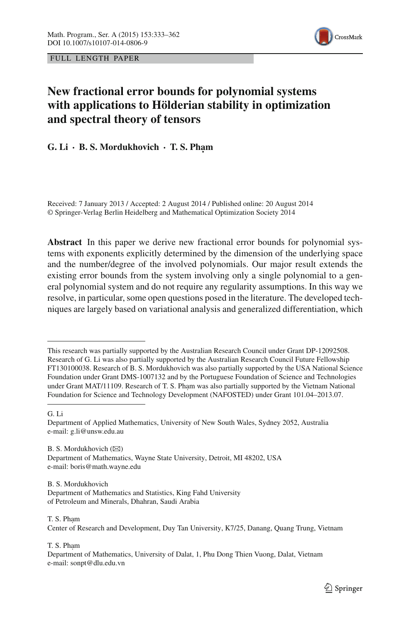

FULL LENGTH PAPER

# **New fractional error bounds for polynomial systems with applications to Hölderian stability in optimization and spectral theory of tensors**

## $G. Li · B.S. Mordukhovich · T.S. Pham$

Received: 7 January 2013 / Accepted: 2 August 2014 / Published online: 20 August 2014 © Springer-Verlag Berlin Heidelberg and Mathematical Optimization Society 2014

**Abstract** In this paper we derive new fractional error bounds for polynomial systems with exponents explicitly determined by the dimension of the underlying space and the number/degree of the involved polynomials. Our major result extends the existing error bounds from the system involving only a single polynomial to a general polynomial system and do not require any regularity assumptions. In this way we resolve, in particular, some open questions posed in the literature. The developed techniques are largely based on variational analysis and generalized differentiation, which

G. Li

B. S. Mordukhovich  $(\boxtimes)$ Department of Mathematics, Wayne State University, Detroit, MI 48202, USA e-mail: boris@math.wayne.edu

T. S. Pham Center of Research and Development, Duy Tan University, K7/25, Danang, Quang Trung, Vietnam

T. S. Pham Department of Mathematics, University of Dalat, 1, Phu Dong Thien Vuong, Dalat, Vietnam e-mail: sonpt@dlu.edu.vn

This research was partially supported by the Australian Research Council under Grant DP-12092508. Research of G. Li was also partially supported by the Australian Research Council Future Fellowship FT130100038. Research of B. S. Mordukhovich was also partially supported by the USA National Science Foundation under Grant DMS-1007132 and by the Portuguese Foundation of Science and Technologies under Grant MAT/11109. Research of T. S. Pham was also partially supported by the Vietnam National Foundation for Science and Technology Development (NAFOSTED) under Grant 101.04–2013.07.

Department of Applied Mathematics, University of New South Wales, Sydney 2052, Australia e-mail: g.li@unsw.edu.au

B. S. Mordukhovich Department of Mathematics and Statistics, King Fahd University of Petroleum and Minerals, Dhahran, Saudi Arabia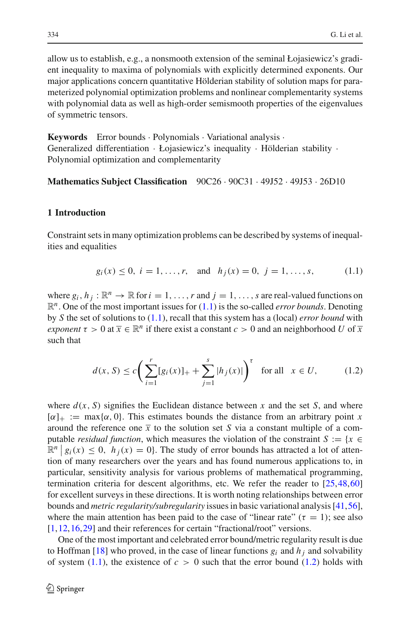allow us to establish, e.g., a nonsmooth extension of the seminal Łojasiewicz's gradient inequality to maxima of polynomials with explicitly determined exponents. Our major applications concern quantitative Hölderian stability of solution maps for parameterized polynomial optimization problems and nonlinear complementarity systems with polynomial data as well as high-order semismooth properties of the eigenvalues of symmetric tensors.

**Keywords** Error bounds · Polynomials · Variational analysis · Generalized differentiation · Łojasiewicz's inequality · Hölderian stability · Polynomial optimization and complementarity

**Mathematics Subject Classification** 90C26 · 90C31 · 49J52 · 49J53 · 26D10

## **1 Introduction**

Constraint sets in many optimization problems can be described by systems of inequalities and equalities

$$
g_i(x) \le 0, i = 1,...,r,
$$
 and  $h_j(x) = 0, j = 1,...,s,$  (1.1)

<span id="page-1-0"></span>where  $g_i$ ,  $h_j$ :  $\mathbb{R}^n \to \mathbb{R}$  for  $i = 1, \ldots, r$  and  $j = 1, \ldots, s$  are real-valued functions on R*n*. One of the most important issues for [\(1.1\)](#page-1-0) is the so-called *error bounds*. Denoting by *S* the set of solutions to [\(1.1\)](#page-1-0), recall that this system has a (local) *error bound* with *exponent*  $\tau > 0$  at  $\overline{x} \in \mathbb{R}^n$  if there exist a constant  $c > 0$  and an neighborhood *U* of  $\overline{x}$ such that

$$
d(x, S) \le c \bigg( \sum_{i=1}^{r} [g_i(x)]_+ + \sum_{j=1}^{s} |h_j(x)| \bigg)^{\tau} \quad \text{for all} \quad x \in U,
$$
 (1.2)

<span id="page-1-1"></span>where  $d(x, S)$  signifies the Euclidean distance between x and the set S, and where  $[\alpha]_+ := \max{\alpha, 0}$ . This estimates bounds the distance from an arbitrary point *x* around the reference one  $\bar{x}$  to the solution set *S* via a constant multiple of a computable *residual function*, which measures the violation of the constraint  $S := \{x \in$  $\mathbb{R}^n | g_i(x) \leq 0$ ,  $h_j(x) = 0$ . The study of error bounds has attracted a lot of attention of many researchers over the years and has found numerous applications to, in particular, sensitivity analysis for various problems of mathematical programming, termination criteria for descent algorithms, etc. We refer the reader to [\[25](#page-28-0),[48,](#page-29-0)[60\]](#page-29-1) for excellent surveys in these directions. It is worth noting relationships between error bounds and *metric regularity/subregularity* issues in basic variational analysis [\[41](#page-29-2)[,56](#page-29-3)], where the main attention has been paid to the case of "linear rate" ( $\tau = 1$ ); see also [\[1](#page-27-0)[,12](#page-28-1),[16](#page-28-2),[29\]](#page-28-3) and their references for certain "fractional/root" versions.

One of the most important and celebrated error bound/metric regularity result is due to Hoffman [\[18](#page-28-4)] who proved, in the case of linear functions  $g_i$  and  $h_j$  and solvability of system  $(1.1)$ , the existence of  $c > 0$  such that the error bound  $(1.2)$  holds with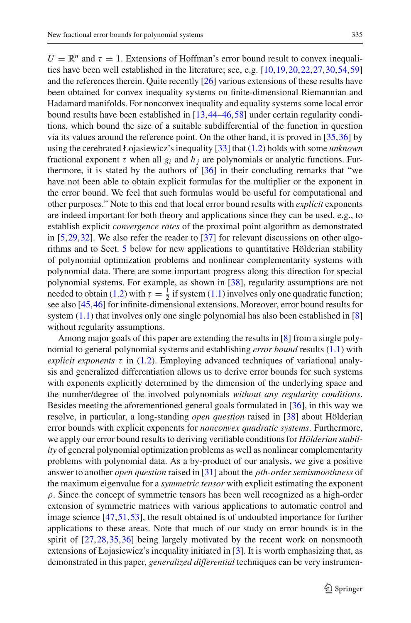$U = \mathbb{R}^n$  and  $\tau = 1$ . Extensions of Hoffman's error bound result to convex inequalities have been well established in the literature; see, e.g. [\[10](#page-28-5)[,19](#page-28-6),[20,](#page-28-7)[22](#page-28-8)[,27](#page-28-9)[,30](#page-28-10),[54,](#page-29-4)[59\]](#page-29-5) and the references therein. Quite recently [\[26](#page-28-11)] various extensions of these results have been obtained for convex inequality systems on finite-dimensional Riemannian and Hadamard manifolds. For nonconvex inequality and equality systems some local error bound results have been established in [\[13](#page-28-12),[44](#page-29-6)[–46,](#page-29-7)[58\]](#page-29-8) under certain regularity conditions, which bound the size of a suitable subdifferential of the function in question via its values around the reference point. On the other hand, it is proved in [\[35](#page-29-9),[36](#page-29-10)] by using the cerebrated Łojasiewicz's inequality [\[33](#page-28-13)] that [\(1.2\)](#page-1-1) holds with some *unknown* fractional exponent  $\tau$  when all  $g_i$  and  $h_j$  are polynomials or analytic functions. Furthermore, it is stated by the authors of [\[36](#page-29-10)] in their concluding remarks that "we have not been able to obtain explicit formulas for the multiplier or the exponent in the error bound. We feel that such formulas would be useful for computational and other purposes." Note to this end that local error bound results with *explicit* exponents are indeed important for both theory and applications since they can be used, e.g., to establish explicit *convergence rates* of the proximal point algorithm as demonstrated in  $[5,29,32]$  $[5,29,32]$  $[5,29,32]$  $[5,29,32]$ . We also refer the reader to  $[37]$  $[37]$  for relevant discussions on other algorithms and to Sect. [5](#page-16-0) below for new applications to quantitative Hölderian stability of polynomial optimization problems and nonlinear complementarity systems with polynomial data. There are some important progress along this direction for special polynomial systems. For example, as shown in [\[38\]](#page-29-12), regularity assumptions are not needed to obtain [\(1.2\)](#page-1-1) with  $\tau = \frac{1}{2}$  if system [\(1.1\)](#page-1-0) involves only one quadratic function; see also [\[45,](#page-29-13)[46\]](#page-29-7) for infinite-dimensional extensions. Moreover, error bound results for system  $(1.1)$  that involves only one single polynomial has also been established in [\[8\]](#page-28-15) without regularity assumptions.

Among major goals of this paper are extending the results in [\[8](#page-28-15)] from a single polynomial to general polynomial systems and establishing *error bound* results [\(1.1\)](#page-1-0) with *explicit exponents*  $\tau$  in [\(1.2\)](#page-1-1). Employing advanced techniques of variational analysis and generalized differentiation allows us to derive error bounds for such systems with exponents explicitly determined by the dimension of the underlying space and the number/degree of the involved polynomials *without any regularity conditions*. Besides meeting the aforementioned general goals formulated in [\[36\]](#page-29-10), in this way we resolve, in particular, a long-standing *open question* raised in [\[38](#page-29-12)] about Hölderian error bounds with explicit exponents for *nonconvex quadratic systems*. Furthermore, we apply our error bound results to deriving verifiable conditions for *Hölderian stability* of general polynomial optimization problems as well as nonlinear complementarity problems with polynomial data. As a by-product of our analysis, we give a positive answer to another *open question* raised in [\[31\]](#page-28-16) about the ρ*th-order semismoothness* of the maximum eigenvalue for a *symmetric tensor* with explicit estimating the exponent  $\rho$ . Since the concept of symmetric tensors has been well recognized as a high-order extension of symmetric matrices with various applications to automatic control and image science [\[47](#page-29-14)[,51](#page-29-15)[,53](#page-29-16)], the result obtained is of undoubted importance for further applications to these areas. Note that much of our study on error bounds is in the spirit of  $[27,28,35,36]$  $[27,28,35,36]$  $[27,28,35,36]$  $[27,28,35,36]$  $[27,28,35,36]$  $[27,28,35,36]$  being largely motivated by the recent work on nonsmooth extensions of Łojasiewicz's inequality initiated in [\[3](#page-27-2)]. It is worth emphasizing that, as demonstrated in this paper, *generalized differential* techniques can be very instrumen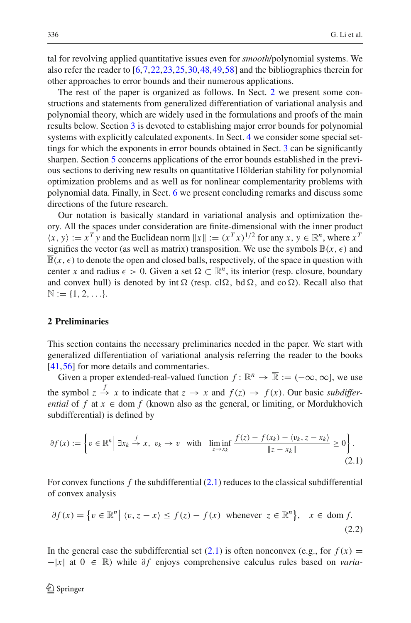tal for revolving applied quantitative issues even for *smooth*/polynomial systems. We also refer the reader to [\[6](#page-28-18)[,7](#page-28-19)[,22](#page-28-8),[23,](#page-28-20)[25](#page-28-0)[,30](#page-28-10)[,48](#page-29-0),[49](#page-29-17),[58\]](#page-29-8) and the bibliographies therein for other approaches to error bounds and their numerous applications.

The rest of the paper is organized as follows. In Sect. [2](#page-3-0) we present some constructions and statements from generalized differentiation of variational analysis and polynomial theory, which are widely used in the formulations and proofs of the main results below. Section [3](#page-5-0) is devoted to establishing major error bounds for polynomial systems with explicitly calculated exponents. In Sect. [4](#page-13-0) we consider some special settings for which the exponents in error bounds obtained in Sect. [3](#page-5-0) can be significantly sharpen. Section [5](#page-16-0) concerns applications of the error bounds established in the previous sections to deriving new results on quantitative Hölderian stability for polynomial optimization problems and as well as for nonlinear complementarity problems with polynomial data. Finally, in Sect. [6](#page-27-3) we present concluding remarks and discuss some directions of the future research.

Our notation is basically standard in variational analysis and optimization theory. All the spaces under consideration are finite-dimensional with the inner product  $\langle x, y \rangle := x^T y$  and the Euclidean norm  $||x|| := (x^T x)^{1/2}$  for any  $x, y \in \mathbb{R}^n$ , where  $x^T$ signifies the vector (as well as matrix) transposition. We use the symbols  $\mathbb{B}(x, \epsilon)$  and  $\overline{\mathbb{B}}(x,\epsilon)$  to denote the open and closed balls, respectively, of the space in question with center *x* and radius  $\epsilon > 0$ . Given a set  $\Omega \subset \mathbb{R}^n$ , its interior (resp. closure, boundary and convex hull) is denoted by int  $\Omega$  (resp. cl $\Omega$ , bd  $\Omega$ , and co  $\Omega$ ). Recall also that  $\mathbb{N} := \{1, 2, \ldots\}.$ 

#### <span id="page-3-0"></span>**2 Preliminaries**

This section contains the necessary preliminaries needed in the paper. We start with generalized differentiation of variational analysis referring the reader to the books [\[41](#page-29-2)[,56](#page-29-3)] for more details and commentaries.

Given a proper extended-real-valued function  $f: \mathbb{R}^n \to \overline{\mathbb{R}} := (-\infty, \infty]$ , we use the symbol  $z \stackrel{f}{\to} x$  to indicate that  $z \to x$  and  $f(z) \to f(x)$ . Our basic *subdifferential* of *f* at  $x \in \text{dom } f$  (known also as the general, or limiting, or Mordukhovich subdifferential) is defined by

<span id="page-3-1"></span>
$$
\partial f(x) := \left\{ v \in \mathbb{R}^n \middle| \exists x_k \stackrel{f}{\to} x, \ v_k \to v \quad \text{with} \quad \liminf_{z \to x_k} \frac{f(z) - f(x_k) - \langle v_k, z - x_k \rangle}{\|z - x_k\|} \ge 0 \right\}.
$$
\n(2.1)

For convex functions *f* the subdifferential [\(2.1\)](#page-3-1) reduces to the classical subdifferential of convex analysis

<span id="page-3-2"></span>
$$
\partial f(x) = \{ v \in \mathbb{R}^n \mid \langle v, z - x \rangle \le f(z) - f(x) \text{ whenever } z \in \mathbb{R}^n \}, \quad x \in \text{dom } f. \tag{2.2}
$$

In the general case the subdifferential set [\(2.1\)](#page-3-1) is often nonconvex (e.g., for  $f(x) =$  $-|x|$  at  $0 \in \mathbb{R}$ ) while  $\partial f$  enjoys comprehensive calculus rules based on *varia*-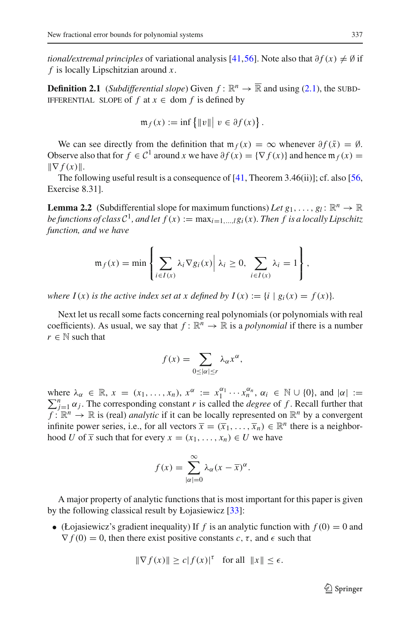<span id="page-4-1"></span>*tional/extremal principles* of variational analysis [\[41](#page-29-2)[,56](#page-29-3)]. Note also that  $\partial f(x) \neq \emptyset$  if *f* is locally Lipschitzian around *x*.

**Definition 2.1** (*Subdifferential slope*) Given  $f : \mathbb{R}^n \to \overline{\mathbb{R}}$  and using [\(2.1\)](#page-3-1), the SUBD-IFFERENTIAL SLOPE of  $f$  at  $x \in \text{dom } f$  is defined by

$$
\mathfrak{m}_f(x) := \inf \{ ||v|| \mid v \in \partial f(x) \}.
$$

We can see directly from the definition that  $m_f(x) = \infty$  whenever  $\partial f(\bar{x}) = \emptyset$ . Observe also that for  $f \in C^1$  around *x* we have  $\partial f(x) = \{ \nabla f(x) \}$  and hence  $\mathfrak{m}_f(x) =$  $\|\nabla f(x)\|$ .

<span id="page-4-0"></span>The following useful result is a consequence of  $[41,$  Theorem 3.46(ii)]; cf. also  $[56,$ Exercise 8.31].

**Lemma 2.2** (Subdifferential slope for maximum functions) *Let*  $g_1, \ldots, g_l : \mathbb{R}^n \to \mathbb{R}$ *be functions of class*  $C^1$ *, and let*  $f(x) := \max_{i=1,\dots,l} g_i(x)$ *. Then f is a locally Lipschitz function, and we have*

$$
\mathfrak{m}_f(x) = \min \left\{ \sum_{i \in I(x)} \lambda_i \nabla g_i(x) \middle| \lambda_i \geq 0, \sum_{i \in I(x)} \lambda_i = 1 \right\},\,
$$

*where*  $I(x)$  *is the active index set at x defined by*  $I(x) := \{i \mid g_i(x) = f(x)\}.$ 

Next let us recall some facts concerning real polynomials (or polynomials with real coefficients). As usual, we say that  $f: \mathbb{R}^n \to \mathbb{R}$  is a *polynomial* if there is a number  $r \in \mathbb{N}$  such that

$$
f(x) = \sum_{0 \leq |\alpha| \leq r} \lambda_{\alpha} x^{\alpha},
$$

where  $\lambda_{\alpha} \in \mathbb{R}$ ,  $x = (x_1, ..., x_n)$ ,  $x^{\alpha} := x_1^{\alpha_1} \cdots x_n^{\alpha_n}$ ,  $\alpha_i \in \mathbb{N} \cup \{0\}$ , and  $|\alpha| := \sum_{i=1}^n \alpha_i$ . The corresponding constant *r* is called the *degree* of *f*. Recall further that  $\sum_{i=1}^{n} \alpha_i$ . The corresponding constant *r* is called the *degree* of *f*. Recall further that  $f: \mathbb{R}^n \to \mathbb{R}$  is (real) *analytic* if it can be locally represented on  $\mathbb{R}^n$  by a convergent infinite power series, i.e., for all vectors  $\overline{x} = (\overline{x}_1, \ldots, \overline{x}_n) \in \mathbb{R}^n$  there is a neighborhood *U* of  $\overline{x}$  such that for every  $x = (x_1, \ldots, x_n) \in U$  we have

$$
f(x) = \sum_{|\alpha|=0}^{\infty} \lambda_{\alpha} (x - \overline{x})^{\alpha}.
$$

A major property of analytic functions that is most important for this paper is given by the following classical result by Łojasiewicz [\[33\]](#page-28-13):

• (Łojasiewicz's gradient inequality) If *f* is an analytic function with  $f(0) = 0$  and  $\nabla f(0) = 0$ , then there exist positive constants *c*, *τ*, and  $\epsilon$  such that

$$
\|\nabla f(x)\| \ge c|f(x)|^{\tau} \quad \text{for all} \ \ \|x\| \le \epsilon.
$$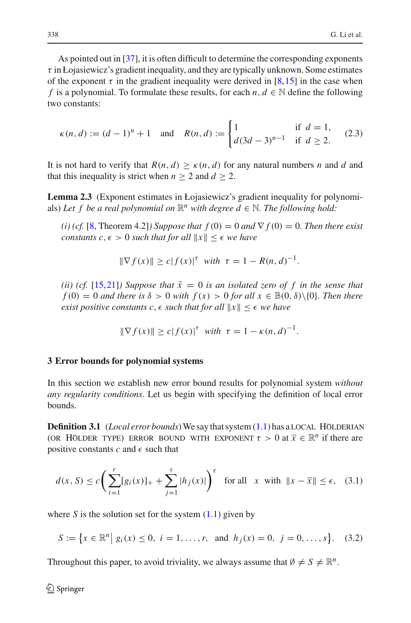As pointed out in [\[37](#page-29-11)], it is often difficult to determine the corresponding exponents  $\tau$  in Łojasiewicz's gradient inequality, and they are typically unknown. Some estimates of the exponent  $\tau$  in the gradient inequality were derived in [\[8,](#page-28-15)[15\]](#page-28-21) in the case when *f* is a polynomial. To formulate these results, for each *n*,  $d \in \mathbb{N}$  define the following two constants:

$$
\kappa(n, d) := (d - 1)^n + 1 \quad \text{and} \quad R(n, d) := \begin{cases} 1 & \text{if } d = 1, \\ d(3d - 3)^{n-1} & \text{if } d \ge 2. \end{cases} \tag{2.3}
$$

<span id="page-5-3"></span><span id="page-5-2"></span>It is not hard to verify that  $R(n, d) \geq \kappa(n, d)$  for any natural numbers *n* and *d* and that this inequality is strict when  $n \geq 2$  and  $d \geq 2$ .

**Lemma 2.3** (Exponent estimates in Łojasiewicz's gradient inequality for polynomials) Let f be a real polynomial on  $\mathbb{R}^n$  with degree  $d \in \mathbb{N}$ . The following hold:

*(i) (cf.* [\[8,](#page-28-15) Theorem 4.2]*) Suppose that*  $f(0) = 0$  *and*  $\nabla f(0) = 0$ *. Then there exist constants*  $c, \epsilon > 0$  *such that for all*  $||x|| \leq \epsilon$  *we have* 

$$
\|\nabla f(x)\| \ge c|f(x)|^{\tau} \text{ with } \tau = 1 - R(n, d)^{-1}.
$$

*(ii) (cf.* [\[15](#page-28-21)[,21](#page-28-22)]*) Suppose that*  $\bar{x} = 0$  *is an isolated zero of f in the sense that*  $f(0) = 0$  *and there is*  $\delta > 0$  *with*  $f(x) > 0$  *for all*  $x \in \mathbb{B}(0, \delta) \setminus \{0\}$ *. Then there exist positive constants c,*  $\epsilon$  *such that for all*  $||x|| \leq \epsilon$  *we have* 

$$
\|\nabla f(x)\| \ge c|f(x)|^{\tau} \text{ with } \tau = 1 - \kappa(n, d)^{-1}.
$$

#### <span id="page-5-0"></span>**3 Error bounds for polynomial systems**

In this section we establish new error bound results for polynomial system *without any regularity conditions*. Let us begin with specifying the definition of local error bounds.

**Definition 3.1** (*Local error bounds*) We say that system  $(1.1)$  has a LOCAL HÖLDERIAN (OR HÖLDER TYPE) ERROR BOUND WITH EXPONENT  $\tau > 0$  at  $\overline{x} \in \mathbb{R}^n$  if there are positive constants  $c$  and  $\epsilon$  such that

$$
d(x, S) \le c \bigg( \sum_{i=1}^{r} [g_i(x)]_+ + \sum_{j=1}^{s} |h_j(x)| \bigg)^{\tau} \quad \text{for all} \quad x \text{ with } \|x - \overline{x}\| \le \epsilon, \tag{3.1}
$$

<span id="page-5-4"></span><span id="page-5-1"></span>where *S* is the solution set for the system  $(1.1)$  given by

$$
S := \{ x \in \mathbb{R}^n \mid g_i(x) \le 0, \ i = 1, \dots, r, \text{ and } h_j(x) = 0, \ j = 0, \dots, s \}. \tag{3.2}
$$

Throughout this paper, to avoid triviality, we always assume that  $\emptyset \neq S \neq \mathbb{R}^n$ .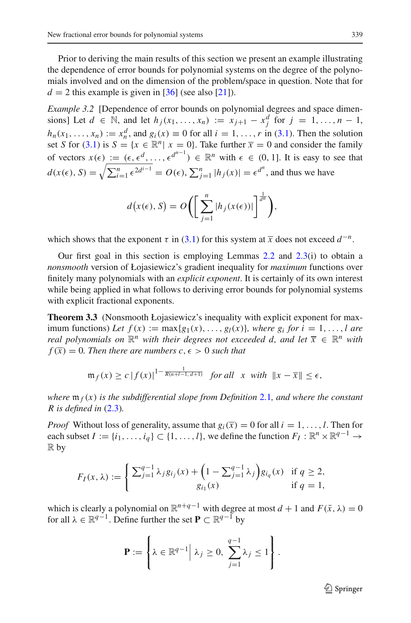Prior to deriving the main results of this section we present an example illustrating the dependence of error bounds for polynomial systems on the degree of the polynomials involved and on the dimension of the problem/space in question. Note that for  $d = 2$  this example is given in [\[36](#page-29-10)] (see also [\[21](#page-28-22)]).

*Example 3.2* [Dependence of error bounds on polynomial degrees and space dimensions] Let  $d \in \mathbb{N}$ , and let  $h_j(x_1, ..., x_n) := x_{j+1} - x_j^d$  for  $j = 1, ..., n-1$ ,  $h_n(x_1, ..., x_n) := x_n^d$ , and  $g_i(x) \equiv 0$  for all  $i = 1, ..., r$  in [\(3.1\)](#page-5-1). Then the solution set *S* for [\(3.1\)](#page-5-1) is  $S = \{x \in \mathbb{R}^n | x = 0\}$ . Take further  $\overline{x} = 0$  and consider the family of vectors  $x(\epsilon) := (\epsilon, \epsilon^d, \ldots, \epsilon^{d^{n-1}}) \in \mathbb{R}^n$  with  $\epsilon \in (0, 1]$ . It is easy to see that  $d(x(\epsilon), S) = \sqrt{\sum_{i=1}^{n} \epsilon^{2d^{i-1}}} = O(\epsilon), \sum_{j=1}^{n} |h_j(x)| = \epsilon^{d^n}$ , and thus we have

$$
d(x(\epsilon), S) = O\bigg(\bigg[\sum_{j=1}^n |h_j(x(\epsilon))|\bigg]^{\frac{1}{d^n}}\bigg),\,
$$

which shows that the exponent  $\tau$  in [\(3.1\)](#page-5-1) for this system at  $\overline{x}$  does not exceed  $d^{-n}$ .

Our first goal in this section is employing Lemmas  $2.2$  and  $2.3(i)$  $2.3(i)$  to obtain a *nonsmooth* version of Łojasiewicz's gradient inequality for *maximum* functions over finitely many polynomials with an *explicit exponent*. It is certainly of its own interest while being applied in what follows to deriving error bounds for polynomial systems with explicit fractional exponents.

<span id="page-6-0"></span>**Theorem 3.3** (Nonsmooth Łojasiewicz's inequality with explicit exponent for maximum functions) Let  $f(x) := \max\{g_1(x), \ldots, g_l(x)\}\)$ , where  $g_i$  for  $i = 1, \ldots, l$  are *real polynomials on*  $\mathbb{R}^n$  *with their degrees not exceeded d, and let*  $\overline{x} \in \mathbb{R}^n$  *with*  $f(\overline{x}) = 0$ . Then there are numbers  $c, \epsilon > 0$  such that

$$
\mathfrak{m}_f(x) \ge c \left| f(x) \right|^{1-\frac{1}{R(n+l-1,d+1)}} \text{ for all } x \text{ with } \|x - \overline{x}\| \le \epsilon,
$$

*where* m *<sup>f</sup>* (*x*) *is the subdifferential slope from Definition* [2.1](#page-4-1)*, and where the constant R is defined in* [\(2.3\)](#page-5-3)*.*

*Proof* Without loss of generality, assume that  $g_i(\bar{x}) = 0$  for all  $i = 1, \ldots, l$ . Then for each subset  $I := \{i_1, \ldots, i_q\} \subset \{1, \ldots, l\}$ , we define the function  $F_I : \mathbb{R}^n \times \mathbb{R}^{q-1} \to$  $\mathbb R$  by

$$
F_I(x,\lambda) := \begin{cases} \sum_{j=1}^{q-1} \lambda_j g_{i_j}(x) + \left(1 - \sum_{j=1}^{q-1} \lambda_j\right) g_{i_q}(x) & \text{if } q \ge 2, \\ g_{i_1}(x) & \text{if } q = 1, \end{cases}
$$

which is clearly a polynomial on  $\mathbb{R}^{n+q-1}$  with degree at most  $d + 1$  and  $F(\bar{x}, \lambda) = 0$ for all  $\lambda \in \mathbb{R}^{q-1}$ . Define further the set  $\mathbf{P} \subset \mathbb{R}^{q-1}$  by

$$
\mathbf{P} := \left\{ \lambda \in \mathbb{R}^{q-1} \Big| \lambda_j \geq 0, \sum_{j=1}^{q-1} \lambda_j \leq 1 \right\}.
$$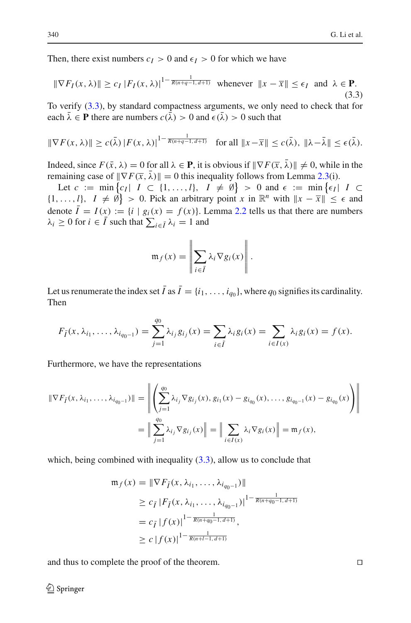<span id="page-7-0"></span>Then, there exist numbers  $c_I > 0$  and  $\epsilon_I > 0$  for which we have

$$
\|\nabla F_I(x,\lambda)\| \ge c_I |F_I(x,\lambda)|^{1-\frac{1}{R(n+q-1,d+1)}} \text{ whenever } \|x-\overline{x}\| \le \epsilon_I \text{ and } \lambda \in \mathbf{P}. \tag{3.3}
$$

To verify [\(3.3\)](#page-7-0), by standard compactness arguments, we only need to check that for each  $\bar{\lambda} \in \mathbf{P}$  there are numbers  $c(\bar{\lambda}) > 0$  and  $\epsilon(\bar{\lambda}) > 0$  such that

$$
\|\nabla F(x,\lambda)\| \ge c(\bar{\lambda})\|F(x,\lambda)\|^{1-\frac{1}{R(n+q-1,d+1)}}\quad \text{for all } \|x-\overline{x}\| \le c(\bar{\lambda}), \ \|\lambda-\overline{\lambda}\| \le \epsilon(\bar{\lambda}).
$$

Indeed, since  $F(\bar{x}, \lambda) = 0$  for all  $\lambda \in \mathbf{P}$ , it is obvious if  $\|\nabla F(\bar{x}, \bar{\lambda})\| \neq 0$ , while in the remaining case of  $\|\nabla F(\overline{x}, \overline{\lambda})\| = 0$  this inequality follows from Lemma [2.3\(](#page-5-2)i).

Let  $c := \min\{c_I | I \subset \{1, ..., l\}, I \neq \emptyset\} > 0$  and  $\epsilon := \min\{\epsilon_I | I \subset$  $\{1, \ldots, l\}, I \neq \emptyset$  > 0. Pick an arbitrary point *x* in  $\mathbb{R}^n$  with  $||x - \overline{x}|| \leq \epsilon$  and denote  $\overline{I} = I(x) := \{i \mid g_i(x) = f(x)\}\$ . Lemma [2.2](#page-4-0) tells us that there are numbers  $\lambda_i \geq 0$  for  $i \in I$  such that  $\sum_{i \in \bar{I}} \lambda_i = 1$  and

$$
\mathfrak{m}_f(x) = \left\| \sum_{i \in \bar{I}} \lambda_i \nabla g_i(x) \right\|.
$$

Let us renumerate the index set  $\bar{I}$  as  $\bar{I} = \{i_1, \ldots, i_{q_0}\}$ , where  $q_0$  signifies its cardinality. Then

$$
F_{\bar{I}}(x, \lambda_{i_1}, \dots, \lambda_{i_{q_0-1}}) = \sum_{j=1}^{q_0} \lambda_{i_j} g_{i_j}(x) = \sum_{i \in \bar{I}} \lambda_i g_i(x) = \sum_{i \in I(x)} \lambda_i g_i(x) = f(x).
$$

Furthermore, we have the representations

$$
\|\nabla F_{\bar{I}}(x, \lambda_{i_1}, \dots, \lambda_{i_{q_0-1}})\| = \left\| \left( \sum_{j=1}^{q_0} \lambda_{i_j} \nabla g_{i_j}(x), g_{i_1}(x) - g_{i_{q_0}}(x), \dots, g_{i_{q_0-1}}(x) - g_{i_{q_0}}(x) \right) \right\|
$$
  

$$
= \left\| \sum_{j=1}^{q_0} \lambda_{i_j} \nabla g_{i_j}(x) \right\| = \left\| \sum_{i \in I(x)} \lambda_i \nabla g_i(x) \right\| = \mathfrak{m}_f(x),
$$

which, being combined with inequality  $(3.3)$ , allow us to conclude that

$$
\begin{aligned} \mathfrak{m}_f(x) &= \|\nabla F_{\bar{I}}(x, \lambda_{i_1}, \dots, \lambda_{i_{q_0-1}})\| \\ &\ge c_{\bar{I}} \left| F_{\bar{I}}(x, \lambda_{i_1}, \dots, \lambda_{i_{q_0-1}}) \right|^{1 - \frac{1}{R(n+q_0-1, d+1)}} \\ &= c_{\bar{I}} \left| f(x) \right|^{1 - \frac{1}{R(n+q_0-1, d+1)}}, \\ &\ge c \left| f(x) \right|^{1 - \frac{1}{R(n+l-1, d+1)}} \end{aligned}
$$

and thus to complete the proof of the theorem.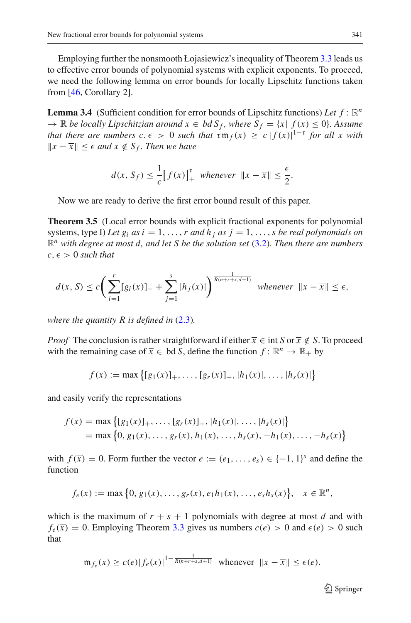Employing further the nonsmooth Łojasiewicz's inequality of Theorem [3.3](#page-6-0) leads us to effective error bounds of polynomial systems with explicit exponents. To proceed, we need the following lemma on error bounds for locally Lipschitz functions taken from [\[46,](#page-29-7) Corollary 2].

<span id="page-8-0"></span>**Lemma 3.4** (Sufficient condition for error bounds of Lipschitz functions) Let  $f : \mathbb{R}^n$  $\rightarrow \mathbb{R}$  *be locally Lipschitzian around*  $\overline{x} \in bd S_f$ , where  $S_f = \{x | f(x) \leq 0\}$ . Assume *that there are numbers*  $c, \epsilon > 0$  *such that*  $\tau \mathfrak{m}_f(x) \geq c |f(x)|^{1-\tau}$  *for all x with*  $||x - \overline{x}||$  ≤  $\epsilon$  *and*  $x \notin S_f$ *. Then we have* 

$$
d(x, S_f) \leq \frac{1}{c} \big[ f(x) \big]_+^{\tau} \text{ whenever } \|x - \overline{x}\| \leq \frac{\epsilon}{2}.
$$

Now we are ready to derive the first error bound result of this paper.

<span id="page-8-1"></span>**Theorem 3.5** (Local error bounds with explicit fractional exponents for polynomial systems, type I) Let  $g_i$  as  $i = 1, \ldots, r$  and  $h_i$  as  $j = 1, \ldots, s$  be real polynomials on R*<sup>n</sup> with degree at most d, and let S be the solution set* [\(3.2\)](#page-5-4)*. Then there are numbers*  $c, \epsilon > 0$  *such that* 

$$
d(x, S) \le c \bigg( \sum_{i=1}^r [g_i(x)]_+ + \sum_{j=1}^s |h_j(x)| \bigg)^{\frac{1}{R(n+r+s,d+1)}} \quad \text{whenever} \quad \|x - \overline{x}\| \le \epsilon,
$$

*where the quantity R is defined in*  $(2.3)$ *.* 

*Proof* The conclusion is rather straightforward if either  $\overline{x} \in \text{int } S$  or  $\overline{x} \notin S$ . To proceed with the remaining case of  $\overline{x} \in \text{bd } S$ , define the function  $f : \mathbb{R}^n \to \mathbb{R}_+$  by

$$
f(x) := \max \left\{ [g_1(x)]_+, \ldots, [g_r(x)]_+, |h_1(x)|, \ldots, |h_s(x)| \right\}
$$

and easily verify the representations

$$
f(x) = \max \{ [g_1(x)]_+, \dots, [g_r(x)]_+, |h_1(x)|, \dots, |h_s(x)| \}
$$
  
= max {0, g\_1(x), ..., g\_r(x), h\_1(x), ..., h\_s(x), -h\_1(x), ..., -h\_s(x)}

with  $f(\overline{x}) = 0$ . Form further the vector  $e := (e_1, \ldots, e_s) \in \{-1, 1\}^s$  and define the function

$$
f_e(x) := \max \{0, g_1(x), \ldots, g_r(x), e_1h_1(x), \ldots, e_sh_s(x)\}, \quad x \in \mathbb{R}^n,
$$

which is the maximum of  $r + s + 1$  polynomials with degree at most *d* and with  $f_e(\bar{x}) = 0$ . Employing Theorem [3.3](#page-6-0) gives us numbers  $c(e) > 0$  and  $\epsilon(e) > 0$  such that

$$
\mathfrak{m}_{f_e}(x) \ge c(e)|f_e(x)|^{1-\frac{1}{R(n+r+s,d+1)}} \text{ whenever } ||x - \overline{x}|| \le \epsilon(e).
$$

 $\mathcal{D}$  Springer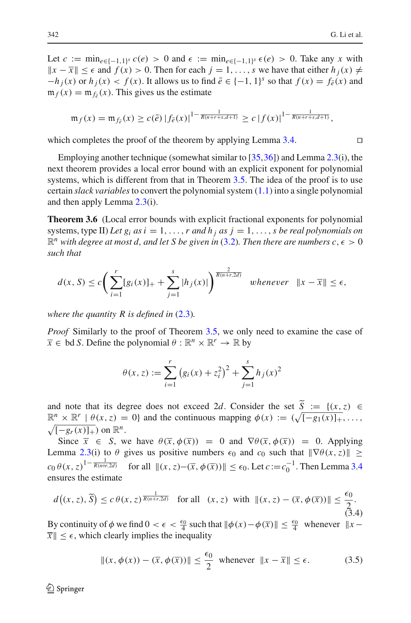Let  $c := \min_{e \in \{-1,1\}^s} c(e) > 0$  and  $\epsilon := \min_{e \in \{-1,1\}^s} \epsilon(e) > 0$ . Take any *x* with  $||x - \overline{x}||$  ≤  $\epsilon$  and  $f(x) > 0$ . Then for each  $j = 1, \ldots, s$  we have that either  $h_j(x) \neq$  $-h_i(x)$  or  $h_i(x) < f(x)$ . It allows us to find  $\bar{e} \in \{-1, 1\}^s$  so that  $f(x) = f_{\bar{e}}(x)$  and  $m_f(x) = m_{f_{\bar{e}}}(x)$ . This gives us the estimate

$$
\mathfrak{m}_f(x) = \mathfrak{m}_{f_{\bar{e}}}(x) \geq c(\bar{e}) \left| f_{\bar{e}}(x) \right|^{1-\frac{1}{R(n+r+s,d+1)}} \geq c \left| f(x) \right|^{1-\frac{1}{R(n+r+s,d+1)}},
$$

which completes the proof of the theorem by applying Lemma [3.4.](#page-8-0)  $\Box$ 

Employing another technique (somewhat similar to [\[35](#page-29-9)[,36](#page-29-10)]) and Lemma [2.3\(](#page-5-2)i), the next theorem provides a local error bound with an explicit exponent for polynomial systems, which is different from that in Theorem [3.5.](#page-8-1) The idea of the proof is to use certain *slack variables*to convert the polynomial system [\(1.1\)](#page-1-0) into a single polynomial and then apply Lemma [2.3\(](#page-5-2)i).

<span id="page-9-2"></span>**Theorem 3.6** (Local error bounds with explicit fractional exponents for polynomial systems, type II) *Let*  $g_i$  *as*  $i = 1, ..., r$  *and*  $h_j$  *as*  $j = 1, ..., s$  *be real polynomials on*  $\mathbb{R}^n$  with degree at most d, and let S be given in [\(3.2\)](#page-5-4). Then there are numbers  $c, \epsilon > 0$ *such that*

$$
d(x, S) \le c \left( \sum_{i=1}^r [g_i(x)]_+ + \sum_{j=1}^s |h_j(x)| \right)^{\frac{2}{R(n+r, 2d)}} \quad \text{whenever} \quad \|x - \overline{x}\| \le \epsilon,
$$

*where the quantity R is defined in* [\(2.3\)](#page-5-3)*.*

*Proof* Similarly to the proof of Theorem [3.5,](#page-8-1) we only need to examine the case of  $\overline{x} \in \text{bd } S$ . Define the polynomial  $\theta : \mathbb{R}^n \times \mathbb{R}^r \to \mathbb{R}$  by

$$
\theta(x, z) := \sum_{i=1}^{r} (g_i(x) + z_i^2)^2 + \sum_{j=1}^{s} h_j(x)^2
$$

and note that its degree does not exceed 2*d*. Consider the set  $\tilde{S} := \{(x, z) \in S\}$  $\mathbb{R}^n \times \mathbb{R}^r \mid \theta(x, z) = 0$  and the continuous mapping  $\phi(x) := (\sqrt{[-g_1(x)]_+}, \dots, \sqrt{[-g_r(x)]_+})$  on  $\mathbb{R}^n$ .  $\sqrt{[-g_r(x)]_+}$  on  $\mathbb{R}^n$ .

Since  $\bar{x} \in S$ , we have  $\theta(\bar{x}, \phi(\bar{x})) = 0$  and  $\nabla \theta(\bar{x}, \phi(\bar{x})) = 0$ . Applying Lemma [2.3\(](#page-5-2)i) to  $\theta$  gives us positive numbers  $\epsilon_0$  and  $c_0$  such that  $\|\nabla \theta(x, z)\|$   $\geq$  $c_0 \theta(x, z)^{1 - \frac{1}{R(n+r, 2d)}}$  for all  $\|(x, z) - (\overline{x}, \phi(\overline{x}))\| \le \epsilon_0$ . Let  $c := c_0^{-1}$ . Then Lemma [3.4](#page-8-0) ensures the estimate

$$
d\big((x, z), \widetilde{S}\big) \le c\,\theta(x, z)^{\frac{1}{R(n+r, 2d)}} \quad \text{for all} \quad (x, z) \quad \text{with} \quad \|(x, z) - (\overline{x}, \phi(\overline{x}))\| \le \frac{\epsilon_0}{2}.
$$
\n
$$
(3.4)
$$

<span id="page-9-1"></span><span id="page-9-0"></span>By continuity of  $\phi$  we find  $0 < \epsilon < \frac{\epsilon_0}{4}$  such that  $\|\phi(x) - \phi(\overline{x})\| \le \frac{\epsilon_0}{4}$  whenever  $\|x - \phi(\overline{x})\|$  $\|\bar{x}\| \leq \epsilon$ , which clearly implies the inequality

$$
||(x, \phi(x)) - (\overline{x}, \phi(\overline{x}))|| \le \frac{\epsilon_0}{2} \text{ whenever } ||x - \overline{x}|| \le \epsilon.
$$
 (3.5)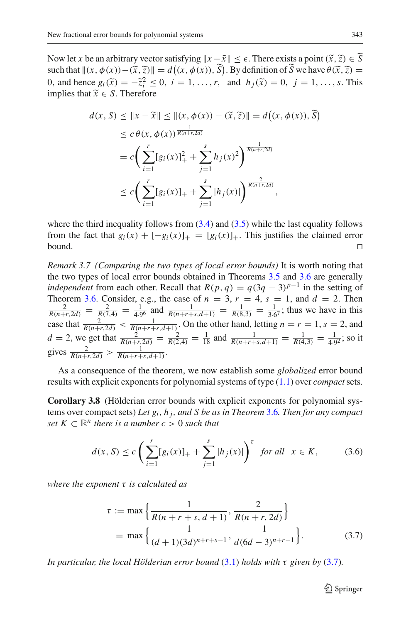Now let *x* be an arbitrary vector satisfying  $||x - \bar{x}|| \le \epsilon$ . There exists a point  $(\tilde{x}, \tilde{z}) \in S$ <br>such that  $||(x, \phi(x)) - (\tilde{x}, \tilde{z})|| = d((x, \phi(x)), \tilde{S})$ . By definition of  $\tilde{S}$  we have  $\theta(\tilde{x}, \tilde{z}) =$ such that  $\|(x, \phi(x)) - (\tilde{x}, \tilde{z})\| = d\left((x, \phi(x)), S\right)$ . By definition of *S* we have  $\theta(\tilde{x}, \tilde{z}) = 0$  and hence  $g(\tilde{x}) = -\tilde{z}^2 < 0$ ,  $i = 1$  g and  $h(\tilde{x}) = 0$ ,  $i = 1$  g This 0, and hence  $g_i(\tilde{x}) = -\tilde{z}_i^2 \le 0$ ,  $i = 1, ..., r$ , and  $h_j(\tilde{x}) = 0$ ,  $j = 1, ..., s$ . This implies that  $\tilde{x} \in S$ . Therefore

$$
d(x, S) \le ||x - \tilde{x}|| \le ||(x, \phi(x)) - (\tilde{x}, \tilde{z})|| = d((x, \phi(x)), \tilde{S})
$$
  
\n
$$
\le c \theta(x, \phi(x))^{\frac{1}{R(n+r, 2d)}}
$$
  
\n
$$
= c \left( \sum_{i=1}^{r} [g_i(x)]_+^2 + \sum_{j=1}^{s} h_j(x)^2 \right)^{\frac{1}{R(n+r, 2d)}}
$$
  
\n
$$
\le c \left( \sum_{i=1}^{r} [g_i(x)]_+ + \sum_{j=1}^{s} |h_j(x)| \right)^{\frac{2}{R(n+r, 2d)}},
$$

where the third inequality follows from  $(3.4)$  and  $(3.5)$  while the last equality follows from the fact that  $g_i(x) + [-g_i(x)]_+ = [g_i(x)]_+$ . This justifies the claimed error bound. bound.  $\Box$ 

*Remark 3.7 (Comparing the two types of local error bounds)* It is worth noting that the two types of local error bounds obtained in Theorems [3.5](#page-8-1) and [3.6](#page-9-2) are generally *independent* from each other. Recall that  $R(p, q) = q(3q - 3)^{p-1}$  in the setting of Theorem [3.6.](#page-9-2) Consider, e.g., the case of  $n = 3$ ,  $r = 4$ ,  $s = 1$ , and  $d = 2$ . Then  $\frac{2}{R(n+r,2d)} = \frac{2}{R(7,4)} = \frac{1}{4.96}$  and  $\frac{1}{R(n+r+s,d+1)} = \frac{1}{R(8,3)} = \frac{1}{3.67}$ ; thus we have in this case that  $\frac{2}{R(n+r,2d)} < \frac{1}{R(n+r+s,d+1)}$ . On the other hand, letting  $n = r = 1$ ,  $s = 2$ , and  $d = 2$ , we get that  $\frac{2}{R(n+r,2d)} = \frac{2}{R(2,4)} = \frac{1}{18}$  and  $\frac{1}{R(n+r+s,d+1)} = \frac{1}{R(4,3)} = \frac{1}{4\cdot9^2}$ ; so it gives  $\frac{2}{R(n+r,2d)} > \frac{1}{R(n+r+s,d+1)}$ .

<span id="page-10-2"></span>As a consequence of the theorem, we now establish some *globalized* error bound results with explicit exponents for polynomial systems of type [\(1.1\)](#page-1-0) over *compact*sets.

**Corollary 3.8** (Hölderian error bounds with explicit exponents for polynomial systems over compact sets) *Let gi , h <sup>j</sup> , and S be as in Theorem* [3.6](#page-9-2)*. Then for any compact set*  $K \subset \mathbb{R}^n$  *there is a number c* > 0 *such that* 

$$
d(x, S) \le c \left( \sum_{i=1}^{r} [g_i(x)]_+ + \sum_{j=1}^{s} |h_j(x)| \right)^{\tau} \text{ for all } x \in K,
$$
 (3.6)

<span id="page-10-1"></span><span id="page-10-0"></span>*where the exponent* τ *is calculated as*

$$
\tau := \max \left\{ \frac{1}{R(n+r+s, d+1)}, \frac{2}{R(n+r, 2d)} \right\}
$$
  
= 
$$
\max \left\{ \frac{1}{(d+1)(3d)^{n+r+s-1}}, \frac{1}{d(6d-3)^{n+r-1}} \right\}.
$$
 (3.7)

*In particular, the local Hölderian error bound* [\(3.1\)](#page-5-1) *holds with* τ *given by* [\(3.7\)](#page-10-0)*.*

<sup>2</sup> Springer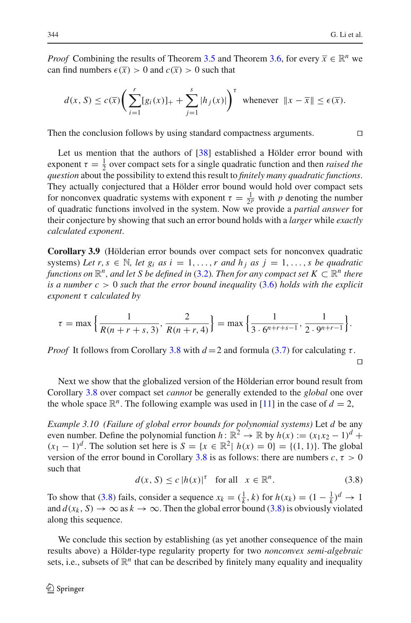*Proof* Combining the results of Theorem [3.5](#page-8-1) and Theorem [3.6,](#page-9-2) for every  $\overline{x} \in \mathbb{R}^n$  we can find numbers  $\epsilon(\overline{x}) > 0$  and  $c(\overline{x}) > 0$  such that

$$
d(x, S) \le c(\overline{x}) \bigg( \sum_{i=1}^r [g_i(x)]_+ + \sum_{j=1}^s |h_j(x)| \bigg)^{\tau} \text{ whenever } ||x - \overline{x}|| \le \epsilon(\overline{x}).
$$

Then the conclusion follows by using standard compactness arguments.  $\square$ 

Let us mention that the authors of [\[38\]](#page-29-12) established a Hölder error bound with exponent  $\tau = \frac{1}{2}$  over compact sets for a single quadratic function and then *raised the question* about the possibility to extend this result to *finitely many quadratic functions*. They actually conjectured that a Hölder error bound would hold over compact sets for nonconvex quadratic systems with exponent  $\tau = \frac{1}{2^p}$  with *p* denoting the number of quadratic functions involved in the system. Now we provide a *partial answer* for their conjecture by showing that such an error bound holds with a *larger* while *exactly calculated exponent*.

**Corollary 3.9** (Hölderian error bounds over compact sets for nonconvex quadratic systems) Let  $r, s \in \mathbb{N}$ , let  $g_i$  as  $i = 1, \ldots, r$  and  $h_j$  as  $j = 1, \ldots, s$  be quadratic *functions on*  $\mathbb{R}^n$ *, and let S be defined in* [\(3.2\)](#page-5-4)*. Then for any compact set*  $K \subset \mathbb{R}^n$  *there is a number c* > 0 *such that the error bound inequality* [\(3.6\)](#page-10-1) *holds with the explicit exponent* τ *calculated by*

$$
\tau = \max\left\{\frac{1}{R(n+r+s,3)}, \frac{2}{R(n+r,4)}\right\} = \max\left\{\frac{1}{3\cdot 6^{n+r+s-1}}, \frac{1}{2\cdot 9^{n+r-1}}\right\}.
$$

*Proof* It follows from Corollary [3.8](#page-10-2) with  $d=2$  and formula [\(3.7\)](#page-10-0) for calculating τ.  $\Box$ 

Next we show that the globalized version of the Hölderian error bound result from Corollary [3.8](#page-10-2) over compact set *cannot* be generally extended to the *global* one over the whole space  $\mathbb{R}^n$ . The following example was used in [\[11\]](#page-28-23) in the case of  $d = 2$ ,

<span id="page-11-1"></span>*Example 3.10 (Failure of global error bounds for polynomial systems)* Let *d* be any even number. Define the polynomial function  $h: \mathbb{R}^2 \to \mathbb{R}$  by  $h(x) := (x_1x_2 - 1)^d +$  $(x_1 - 1)^d$ . The solution set here is  $S = \{x \in \mathbb{R}^2 | h(x) = 0\} = \{(1, 1)\}\.$  The global version of the error bound in Corollary [3.8](#page-10-2) is as follows: there are numbers  $c, \tau > 0$ such that

$$
d(x, S) \le c |h(x)|^{\tau} \quad \text{for all} \quad x \in \mathbb{R}^n. \tag{3.8}
$$

<span id="page-11-0"></span>To show that [\(3.8\)](#page-11-0) fails, consider a sequence  $x_k = (\frac{1}{k}, k)$  for  $h(x_k) = (1 - \frac{1}{k})^d \rightarrow 1$ and  $d(x_k, S) \to \infty$  as  $k \to \infty$ . Then the global error bound [\(3.8\)](#page-11-0) is obviously violated along this sequence.

We conclude this section by establishing (as yet another consequence of the main results above) a Hölder-type regularity property for two *nonconvex semi-algebraic* sets, i.e., subsets of  $\mathbb{R}^n$  that can be described by finitely many equality and inequality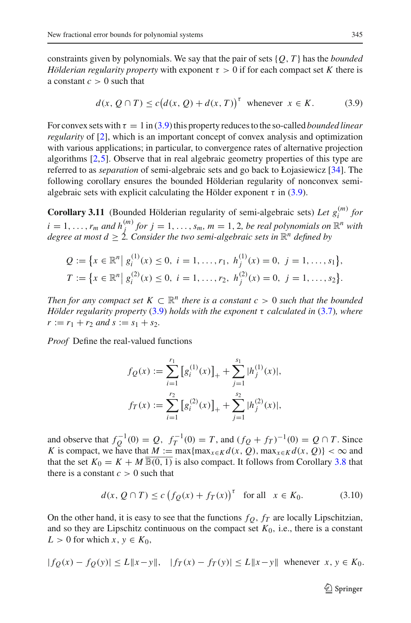constraints given by polynomials. We say that the pair of sets {*Q*, *T* } has the *bounded Hölderian regularity property* with exponent  $\tau > 0$  if for each compact set K there is a constant  $c > 0$  such that

$$
d(x, Q \cap T) \le c \big( d(x, Q) + d(x, T) \big)^{\tau} \text{ whenever } x \in K. \tag{3.9}
$$

<span id="page-12-0"></span>For convex sets with  $\tau = 1$  in [\(3.9\)](#page-12-0) this property reduces to the so-called *bounded linear regularity* of [\[2\]](#page-27-4), which is an important concept of convex analysis and optimization with various applications; in particular, to convergence rates of alternative projection algorithms [\[2,](#page-27-4)[5\]](#page-27-1). Observe that in real algebraic geometry properties of this type are referred to as *separation* of semi-algebraic sets and go back to Łojasiewicz [\[34](#page-28-24)]. The following corollary ensures the bounded Hölderian regularity of nonconvex semialgebraic sets with explicit calculating the Hölder exponent  $\tau$  in [\(3.9\)](#page-12-0).

**Corollary 3.11** (Bounded Hölderian regularity of semi-algebraic sets) Let  $g_i^{(m)}$  for  $i = 1, \ldots, r_m$  and  $h_j^{(m)}$  for  $j = 1, \ldots, s_m$ ,  $m = 1, 2$ , be real polynomials on  $\mathbb{R}^n$  with *degree at most*  $d \geq 2$ *. Consider the two semi-algebraic sets in*  $\mathbb{R}^n$  *defined by* 

$$
Q := \{x \in \mathbb{R}^n \mid g_i^{(1)}(x) \le 0, \ i = 1, ..., r_1, \ h_j^{(1)}(x) = 0, \ j = 1, ..., s_1\},\
$$
  

$$
T := \{x \in \mathbb{R}^n \mid g_i^{(2)}(x) \le 0, \ i = 1, ..., r_2, \ h_j^{(2)}(x) = 0, \ j = 1, ..., s_2\}.
$$

*Then for any compact set*  $K \subset \mathbb{R}^n$  *there is a constant c* > 0 *such that the bounded Hölder regularity property* [\(3.9\)](#page-12-0) *holds with the exponent* τ *calculated in* [\(3.7\)](#page-10-0)*, where*  $r := r_1 + r_2$  *and*  $s := s_1 + s_2$ .

*Proof* Define the real-valued functions

$$
f_Q(x) := \sum_{i=1}^{r_1} [g_i^{(1)}(x)]_+ + \sum_{j=1}^{s_1} |h_j^{(1)}(x)|,
$$
  

$$
f_T(x) := \sum_{i=1}^{r_2} [g_i^{(2)}(x)]_+ + \sum_{j=1}^{s_2} |h_j^{(2)}(x)|,
$$

and observe that  $f_Q^{-1}(0) = Q$ ,  $f_T^{-1}(0) = T$ , and  $(f_Q + f_T)^{-1}(0) = Q ∩ T$ . Since *K* is compact, we have that  $M := \max\{\max_{x \in K} d(x, Q), \max_{x \in K} d(x, Q)\} < \infty$  and that the set  $K_0 = K + M \overline{\mathbb{B}(0, 1)}$  is also compact. It follows from Corollary [3.8](#page-10-2) that there is a constant  $c > 0$  such that

$$
d(x, Q \cap T) \le c \left( f_Q(x) + f_T(x) \right)^{\tau} \quad \text{for all} \quad x \in K_0. \tag{3.10}
$$

<span id="page-12-1"></span>On the other hand, it is easy to see that the functions  $f_Q$ ,  $f_T$  are locally Lipschitzian, and so they are Lipschitz continuous on the compact set  $K_0$ , i.e., there is a constant  $L > 0$  for which  $x, y \in K_0$ ,

$$
|fg(x) - fg(y)| \le L \|x - y\|, \quad |f_T(x) - f_T(y)| \le L \|x - y\| \quad \text{whenever} \quad x, y \in K_0.
$$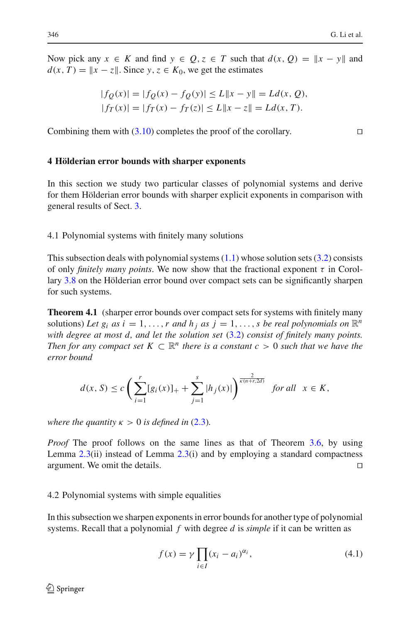Now pick any  $x \in K$  and find  $y \in Q$ ,  $z \in T$  such that  $d(x, Q) = ||x - y||$  and  $d(x, T) = ||x - z||$ . Since  $y, z \in K_0$ , we get the estimates

$$
|f_Q(x)| = |f_Q(x) - f_Q(y)| \le L \|x - y\| = Ld(x, Q),
$$
  

$$
|f_T(x)| = |f_T(x) - f_T(z)| \le L \|x - z\| = Ld(x, T).
$$

Combining them with  $(3.10)$  completes the proof of the corollary.

#### <span id="page-13-0"></span>**4 Hölderian error bounds with sharper exponents**

In this section we study two particular classes of polynomial systems and derive for them Hölderian error bounds with sharper explicit exponents in comparison with general results of Sect. [3.](#page-5-0)

4.1 Polynomial systems with finitely many solutions

This subsection deals with polynomial systems  $(1.1)$  whose solution sets  $(3.2)$  consists of only *finitely many points*. We now show that the fractional exponent  $\tau$  in Corollary [3.8](#page-10-2) on the Hölderian error bound over compact sets can be significantly sharpen for such systems.

**Theorem 4.1** (sharper error bounds over compact sets for systems with finitely many solutions) Let  $g_i$  *as*  $i = 1, ..., r$  *and*  $h_i$  *as*  $j = 1, ..., s$  *be real polynomials on*  $\mathbb{R}^n$ *with degree at most d, and let the solution set* [\(3.2\)](#page-5-4) *consist of finitely many points. Then for any compact set*  $K \subset \mathbb{R}^n$  *there is a constant c* > 0 *such that we have the error bound*

$$
d(x, S) \le c \left( \sum_{i=1}^r [g_i(x)]_+ + \sum_{j=1}^s |h_j(x)| \right)^{\frac{2}{\kappa(n+r, 2d)}} \text{ for all } x \in K,
$$

*where the quantity*  $\kappa > 0$  *is defined in* [\(2.3\)](#page-5-3).

*Proof* The proof follows on the same lines as that of Theorem [3.6,](#page-9-2) by using Lemma  $2.3(i)$  $2.3(i)$  instead of Lemma  $2.3(i)$  and by employing a standard compactness argument. We omit the details.

#### 4.2 Polynomial systems with simple equalities

<span id="page-13-1"></span>In this subsection we sharpen exponents in error bounds for another type of polynomial systems. Recall that a polynomial *f* with degree *d* is *simple* if it can be written as

$$
f(x) = \gamma \prod_{i \in I} (x_i - a_i)^{\alpha_i}, \tag{4.1}
$$

 $\circled{2}$  Springer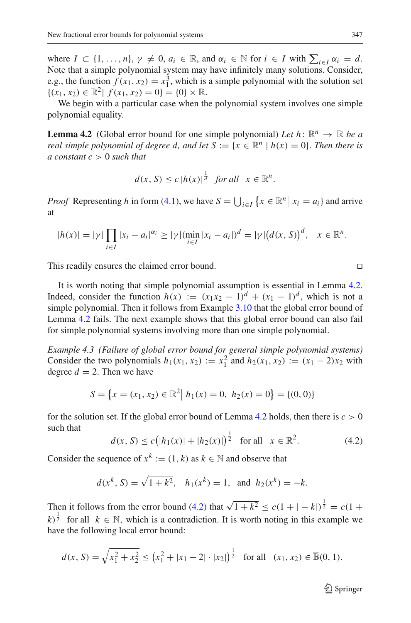where  $I \subset \{1, \ldots, n\}$ ,  $\gamma \neq 0$ ,  $a_i \in \mathbb{R}$ , and  $\alpha_i \in \mathbb{N}$  for  $i \in I$  with  $\sum_{i \in I} \alpha_i = d$ . Note that a simple polynomial system may have infinitely many solutions. Consider, e.g., the function  $f(x_1, x_2) = x_1^3$ , which is a simple polynomial with the solution set  $\{(x_1, x_2) \in \mathbb{R}^2 \mid f(x_1, x_2) = 0\} = \{0\} \times \mathbb{R}.$ 

<span id="page-14-0"></span>We begin with a particular case when the polynomial system involves one simple polynomial equality.

**Lemma 4.2** (Global error bound for one simple polynomial) *Let*  $h: \mathbb{R}^n \to \mathbb{R}$  *be a real simple polynomial of degree d, and let*  $S := \{x \in \mathbb{R}^n \mid h(x) = 0\}$ . *Then there is a constant c* > 0 *such that*

$$
d(x, S) \le c |h(x)|^{\frac{1}{d}} \quad \text{for all} \quad x \in \mathbb{R}^n.
$$

*Proof* Representing *h* in form [\(4.1\)](#page-13-1), we have  $S = \bigcup_{i \in I} \{x \in \mathbb{R}^n | x_i = a_i\}$  and arrive at

$$
|h(x)| = |\gamma| \prod_{i \in I} |x_i - a_i|^{\alpha_i} \ge |\gamma| (\min_{i \in I} |x_i - a_i|)^d = |\gamma| (d(x, S))^d, \quad x \in \mathbb{R}^n.
$$

This readily ensures the claimed error bound.

It is worth noting that simple polynomial assumption is essential in Lemma [4.2.](#page-14-0) Indeed, consider the function  $h(x) := (x_1x_2 - 1)^d + (x_1 - 1)^d$ , which is not a simple polynomial. Then it follows from Example [3.10](#page-11-1) that the global error bound of Lemma [4.2](#page-14-0) fails. The next example shows that this global error bound can also fail for simple polynomial systems involving more than one simple polynomial.

*Example 4.3 (Failure of global error bound for general simple polynomial systems)* Consider the two polynomials  $h_1(x_1, x_2) := x_1^2$  and  $h_2(x_1, x_2) := (x_1 - 2)x_2$  with degree  $d = 2$ . Then we have

$$
S = \{x = (x_1, x_2) \in \mathbb{R}^2 \mid h_1(x) = 0, \ h_2(x) = 0\} = \{(0, 0)\}
$$

for the solution set. If the global error bound of Lemma [4.2](#page-14-0) holds, then there is  $c > 0$ such that

$$
d(x, S) \le c\big(|h_1(x)| + |h_2(x)|\big)^{\frac{1}{2}} \quad \text{for all} \quad x \in \mathbb{R}^2. \tag{4.2}
$$

<span id="page-14-1"></span>Consider the sequence of  $x^k := (1, k)$  as  $k \in \mathbb{N}$  and observe that

$$
d(x^k, S) = \sqrt{1 + k^2}
$$
,  $h_1(x^k) = 1$ , and  $h_2(x^k) = -k$ .

Then it follows from the error bound [\(4.2\)](#page-14-1) that  $\sqrt{1+k^2} \le c(1+|-k|)^{\frac{1}{2}} = c(1+|k|)^{\frac{1}{2}}$  $(k)^{\frac{1}{2}}$  for all  $k \in \mathbb{N}$ , which is a contradiction. It is worth noting in this example we have the following local error bound:

$$
d(x, S) = \sqrt{x_1^2 + x_2^2} \le (x_1^2 + |x_1 - 2| \cdot |x_2|)^{\frac{1}{2}} \text{ for all } (x_1, x_2) \in \overline{\mathbb{B}}(0, 1).
$$

$$
\Box
$$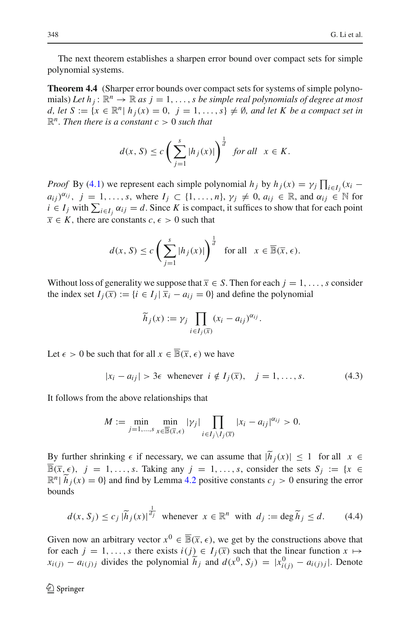The next theorem establishes a sharpen error bound over compact sets for simple polynomial systems.

**Theorem 4.4** (Sharper error bounds over compact sets for systems of simple polynomials) Let  $h_i: \mathbb{R}^n \to \mathbb{R}$  as  $j = 1, \ldots, s$  be simple real polynomials of degree at most  $d, \text{ let } S := \{x \in \mathbb{R}^n \mid h_i(x) = 0, \, j = 1, \ldots, s\} \neq \emptyset, \text{ and let } K \text{ be a compact set in }$  $\mathbb{R}^n$ *. Then there is a constant c* > 0 *such that* 

$$
d(x, S) \le c \left( \sum_{j=1}^{s} |h_j(x)| \right)^{\frac{1}{d}} \text{ for all } x \in K.
$$

*Proof* By [\(4.1\)](#page-13-1) we represent each simple polynomial *h<sub>j</sub>* by  $h_j(x) = \gamma_j \prod_{i \in I_j} (x_i - \gamma_i)^{i-j}$  $a_{ij}$ ,  $j = 1, \ldots, s$ , where  $I_j \subset \{1, \ldots, n\}$ ,  $\gamma_j \neq 0$ ,  $a_{ij} \in \mathbb{R}$ , and  $\alpha_{ij} \in \mathbb{N}$  for  $i \in I_j$  with  $\sum_{i \in I_j} \alpha_{ij} = d$ . Since *K* is compact, it suffices to show that for each point  $\overline{x} \in K$ , there are constants *c*,  $\epsilon > 0$  such that

$$
d(x, S) \le c \left( \sum_{j=1}^{s} |h_j(x)| \right)^{\frac{1}{d}} \text{ for all } x \in \overline{\mathbb{B}}(\overline{x}, \epsilon).
$$

Without loss of generality we suppose that  $\overline{x} \in S$ . Then for each  $j = 1, \ldots, s$  consider the index set  $I_i(\overline{x}) := \{i \in I_j | \overline{x_i} - a_{ij} = 0\}$  and define the polynomial

$$
\widetilde{h}_j(x) := \gamma_j \prod_{i \in I_j(\overline{x})} (x_i - a_{ij})^{\alpha_{ij}}.
$$

<span id="page-15-0"></span>Let  $\epsilon > 0$  be such that for all  $x \in \overline{\mathbb{B}}(\overline{x}, \epsilon)$  we have

$$
|x_i - a_{ij}| > 3\epsilon \text{ whenever } i \notin I_j(\overline{x}), \quad j = 1, \dots, s. \tag{4.3}
$$

It follows from the above relationships that

$$
M := \min_{j=1,\ldots,s} \min_{x \in \overline{\mathbb{B}}(\overline{x},\epsilon)} |\gamma_j| \prod_{i \in I_j \setminus I_j(\overline{x})} |x_i - a_{ij}|^{\alpha_{ij}} > 0.
$$

By further shrinking  $\epsilon$  if necessary, we can assume that  $|\tilde{h}_j(x)| \leq 1$  for all  $x \in$  $\overline{\mathbb{B}}(\overline{x}, \epsilon)$ ,  $j = 1, \ldots, s$ . Taking any  $j = 1, \ldots, s$ , consider the sets  $S_j := \{x \in$  $\mathbb{R}^n$   $\tilde{h}_i(x) = 0$ } and find by Lemma [4.2](#page-14-0) positive constants  $c_i > 0$  ensuring the error bounds

$$
d(x, S_j) \le c_j |\widetilde{h}_j(x)|^{\frac{1}{d_j}} \text{ whenever } x \in \mathbb{R}^n \text{ with } d_j := \deg \widetilde{h}_j \le d. \tag{4.4}
$$

<span id="page-15-1"></span>Given now an arbitrary vector  $x^0 \in \overline{\mathbb{B}}(\overline{x}, \epsilon)$ , we get by the constructions above that for each  $j = 1, \ldots, s$  there exists  $i(j) \in I_j(\overline{x})$  such that the linear function  $x \mapsto$  $x_{i(j)} - a_{i(j)j}$  divides the polynomial  $\widetilde{h}_j$  and  $d(x^0, S_j) = |x^0_{i(j)} - a_{i(j)j}|$ . Denote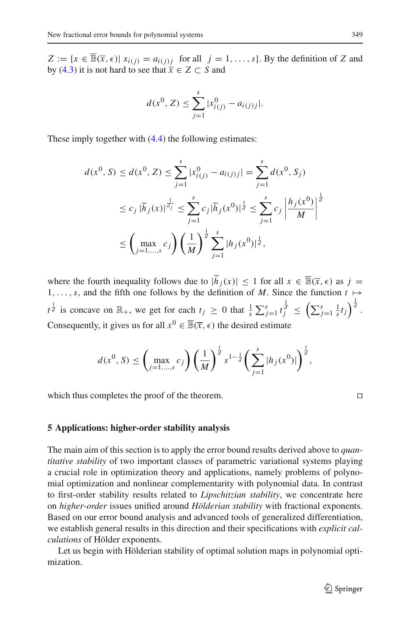$Z := \{x \in \overline{\mathbb{B}}(\overline{x}, \epsilon) | x_{i(j)} = a_{i(j)j} \text{ for all } j = 1, \ldots, s\}$ . By the definition of *Z* and by [\(4.3\)](#page-15-0) it is not hard to see that  $\overline{x} \in Z \subset S$  and

$$
d(x^{0}, Z) \leq \sum_{j=1}^{s} |x_{i(j)}^{0} - a_{i(j)j}|.
$$

These imply together with  $(4.4)$  the following estimates:

$$
d(x^{0}, S) \leq d(x^{0}, Z) \leq \sum_{j=1}^{s} |x_{i(j)}^{0} - a_{i(j)j}| = \sum_{j=1}^{s} d(x^{0}, S_{j})
$$
  

$$
\leq c_{j} |\tilde{h}_{j}(x)|^{\frac{1}{d_{j}}} \leq \sum_{j=1}^{s} c_{j} |\tilde{h}_{j}(x^{0})|^{\frac{1}{d}} \leq \sum_{j=1}^{s} c_{j} \left| \frac{h_{j}(x^{0})}{M} \right|^{\frac{1}{d}}
$$
  

$$
\leq \left( \max_{j=1,\dots,s} c_{j} \right) \left( \frac{1}{M} \right)^{\frac{1}{d}} \sum_{j=1}^{s} |h_{j}(x^{0})|^{\frac{1}{d}},
$$

where the fourth inequality follows due to  $|\tilde{h}_i(x)| \leq 1$  for all  $x \in \overline{\mathbb{B}}(\overline{x}, \epsilon)$  as  $j =$ 1,...,*s*, and the fifth one follows by the definition of *M*. Since the function  $t \mapsto$ *t*<sup> $\frac{1}{d}$ </sup> is concave on  $\mathbb{R}_+$ , we get for each  $t_j \ge 0$  that  $\frac{1}{s} \sum_{j=1}^s t_j^{\frac{1}{d}} \le \left( \sum_{j=1}^s \frac{1}{s} t_j \right)^{\frac{1}{d}}$ . Consequently, it gives us for all  $x^0 \in \overline{\mathbb{B}}(\overline{x}, \epsilon)$  the desired estimate

$$
d(x^{0}, S) \leq \left(\max_{j=1,\dots,s} c_{j}\right) \left(\frac{1}{M}\right)^{\frac{1}{d}} s^{1-\frac{1}{d}} \left(\sum_{j=1}^{s} |h_{j}(x^{0})|\right)^{\frac{1}{d}},
$$

which thus completes the proof of the theorem.

$$
\Box
$$

#### <span id="page-16-0"></span>**5 Applications: higher-order stability analysis**

The main aim of this section is to apply the error bound results derived above to *quantitative stability* of two important classes of parametric variational systems playing a crucial role in optimization theory and applications, namely problems of polynomial optimization and nonlinear complementarity with polynomial data. In contrast to first-order stability results related to *Lipschitzian stability*, we concentrate here on *higher-order* issues unified around *Hölderian stability* with fractional exponents. Based on our error bound analysis and advanced tools of generalized differentiation, we establish general results in this direction and their specifications with *explicit calculations* of Hölder exponents.

Let us begin with Hölderian stability of optimal solution maps in polynomial optimization.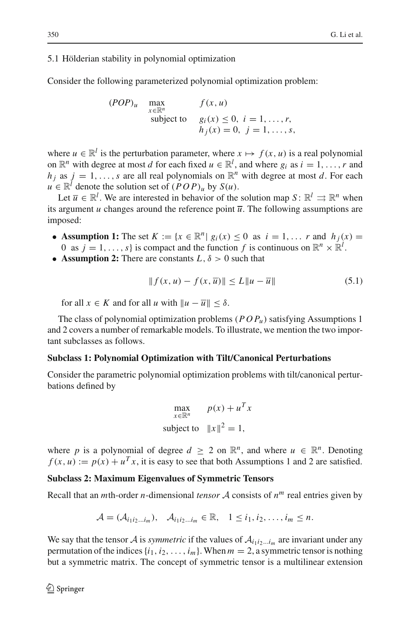#### 5.1 Hölderian stability in polynomial optimization

Consider the following parameterized polynomial optimization problem:

$$
(POP)_u \quad \max_{\substack{x \in \mathbb{R}^n \\ \text{subject to}}} f(x, u)
$$
  

$$
g_i(x) \le 0, \ i = 1, \dots, r,
$$
  

$$
h_j(x) = 0, \ j = 1, \dots, s,
$$

where  $u \in \mathbb{R}^l$  is the perturbation parameter, where  $x \mapsto f(x, u)$  is a real polynomial on  $\mathbb{R}^n$  with degree at most *d* for each fixed  $u \in \mathbb{R}^l$ , and where *g<sub>i</sub>* as  $i = 1, ..., r$  and  $h_i$  as  $j = 1, \ldots, s$  are all real polynomials on  $\mathbb{R}^n$  with degree at most *d*. For each  $u \in \mathbb{R}^l$  denote the solution set of  $(POP)_u$  by  $S(u)$ .

Let  $\overline{u} \in \mathbb{R}^l$ . We are interested in behavior of the solution map  $S: \mathbb{R}^l \Rightarrow \mathbb{R}^n$  when its argument *u* changes around the reference point  $\overline{u}$ . The following assumptions are imposed:

- **Assumption 1:** The set  $K := \{x \in \mathbb{R}^n | g_i(x) < 0 \text{ as } i = 1, \ldots r \text{ and } h_i(x) = 0 \}$ 0 as  $j = 1, ..., s$  is compact and the function  $f$  is continuous on  $\mathbb{R}^n \times \mathbb{R}^l$ .
- **Assumption 2:** There are constants  $L, \delta > 0$  such that

$$
|| f(x, u) - f(x, \overline{u}) || \le L ||u - \overline{u}||
$$
 (5.1)

<span id="page-17-0"></span>for all  $x \in K$  and for all *u* with  $||u - \overline{u}|| \leq \delta$ .

The class of polynomial optimization problems  $(POP<sub>u</sub>)$  satisfying Assumptions 1 and 2 covers a number of remarkable models. To illustrate, we mention the two important subclasses as follows.

## **Subclass 1: Polynomial Optimization with Tilt/Canonical Perturbations**

Consider the parametric polynomial optimization problems with tilt/canonical perturbations defined by

$$
\max_{x \in \mathbb{R}^n} \quad p(x) + u^T x
$$
\n
$$
\text{subject to} \quad \|x\|^2 = 1,
$$

where *p* is a polynomial of degree  $d \geq 2$  on  $\mathbb{R}^n$ , and where  $u \in \mathbb{R}^n$ . Denoting  $f(x, u) := p(x) + u^T x$ , it is easy to see that both Assumptions 1 and 2 are satisfied.

## **Subclass 2: Maximum Eigenvalues of Symmetric Tensors**

Recall that an *m*th-order *n*-dimensional *tensor*  $\mathcal A$  consists of  $n^m$  real entries given by

$$
\mathcal{A} = (\mathcal{A}_{i_1 i_2 \dots i_m}), \quad \mathcal{A}_{i_1 i_2 \dots i_m} \in \mathbb{R}, \quad 1 \leq i_1, i_2, \dots, i_m \leq n.
$$

We say that the tensor *A* is *symmetric* if the values of  $A_{i_1 i_2 \ldots i_m}$  are invariant under any permutation of the indices  $\{i_1, i_2, \ldots, i_m\}$ . When  $m = 2$ , a symmetric tensor is nothing but a symmetric matrix. The concept of symmetric tensor is a multilinear extension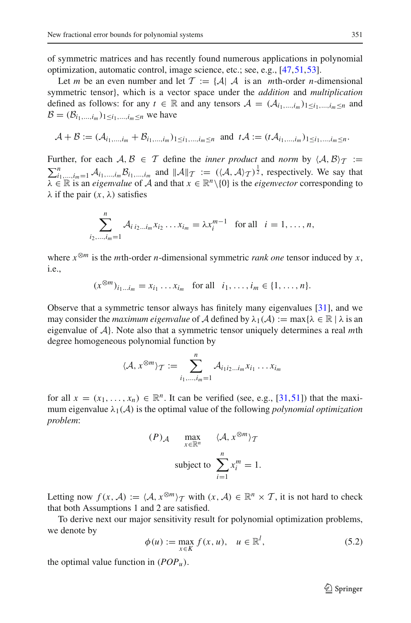of symmetric matrices and has recently found numerous applications in polynomial optimization, automatic control, image science, etc.; see, e.g., [\[47](#page-29-14)[,51](#page-29-15)[,53](#page-29-16)].

Let *m* be an even number and let  $\mathcal{T} := \{ \mathcal{A} | \mathcal{A}$  is an *m*th-order *n*-dimensional symmetric tensor}, which is a vector space under the *addition* and *multiplication* defined as follows: for any  $t \in \mathbb{R}$  and any tensors  $\mathcal{A} = (\mathcal{A}_{i_1,\dots,i_m})_{1 \leq i_1,\dots,i_m \leq n}$  and  $B = (B_{i_1,...,i_m})_{1 \le i_1,...,i_m \le n}$  we have

$$
\mathcal{A} + \mathcal{B} := (\mathcal{A}_{i_1,\dots,i_m} + \mathcal{B}_{i_1,\dots,i_m})_{1 \leq i_1,\dots,i_m \leq n} \text{ and } t\mathcal{A} := (t\mathcal{A}_{i_1,\dots,i_m})_{1 \leq i_1,\dots,i_m \leq n}.
$$

Further, for each  $A, B \in \mathcal{T}$  define the *inner product* and *norm* by  $\langle A, B \rangle_{\mathcal{T}} :=$  $\sum_{i_1,\ldots,i_m=1}^n A_{i_1,\ldots,i_m} B_{i_1,\ldots,i_m}$  and  $||A||_T := (\langle A, A \rangle_T)^{\frac{1}{2}}$ , respectively. We say that  $\lambda \in \mathbb{R}$  is an *eigenvalue* of  $\hat{\mathcal{A}}$  and that  $x \in \mathbb{R}^n \setminus \{0\}$  is the *eigenvector* corresponding to  $\lambda$  if the pair  $(x, \lambda)$  satisfies

$$
\sum_{i_2,\dots,i_m=1}^n \mathcal{A}_{i \, i_2 \dots i_m} x_{i_2} \dots x_{i_m} = \lambda x_i^{m-1} \quad \text{for all} \quad i = 1,\dots,n,
$$

where  $x^{\otimes m}$  is the *m*th-order *n*-dimensional symmetric *rank one* tensor induced by *x*, i.e.,

 $(x^{\otimes m})_{i_1...i_m} = x_{i_1} \dots x_{i_m}$  for all  $i_1, \dots, i_m \in \{1, \dots, n\}.$ 

Observe that a symmetric tensor always has finitely many eigenvalues [\[31](#page-28-16)], and we may consider the *maximum eigenvalue* of *A* defined by  $\lambda_1(A) := \max{\lambda \in \mathbb{R} \mid \lambda \text{ is an}}$ eigenvalue of *A*}. Note also that a symmetric tensor uniquely determines a real *m*th degree homogeneous polynomial function by

$$
\langle \mathcal{A}, x^{\otimes m} \rangle_{\mathcal{T}} := \sum_{i_1, \dots, i_m=1}^n \mathcal{A}_{i_1 i_2 \dots i_m} x_{i_1} \dots x_{i_m}
$$

for all  $x = (x_1, \ldots, x_n) \in \mathbb{R}^n$ . It can be verified (see, e.g., [\[31](#page-28-16),[51\]](#page-29-15)) that the maximum eigenvalue  $\lambda_1(\mathcal{A})$  is the optimal value of the following *polynomial optimization problem*:

$$
(P)_{\mathcal{A}} \qquad \max_{x \in \mathbb{R}^n} \qquad \langle \mathcal{A}, x^{\otimes m} \rangle_{\mathcal{T}}
$$
  
subject to 
$$
\sum_{i=1}^n x_i^m = 1.
$$

Letting now  $f(x, A) := \langle A, x^{\otimes m} \rangle_T$  with  $(x, A) \in \mathbb{R}^n \times T$ , it is not hard to check that both Assumptions 1 and 2 are satisfied.

To derive next our major sensitivity result for polynomial optimization problems, we denote by

$$
\phi(u) := \max_{x \in K} f(x, u), \quad u \in \mathbb{R}^l,
$$
\n
$$
(5.2)
$$

<span id="page-18-0"></span>the optimal value function in  $(POP<sub>u</sub>)$ .

 $\mathcal{D}$  Springer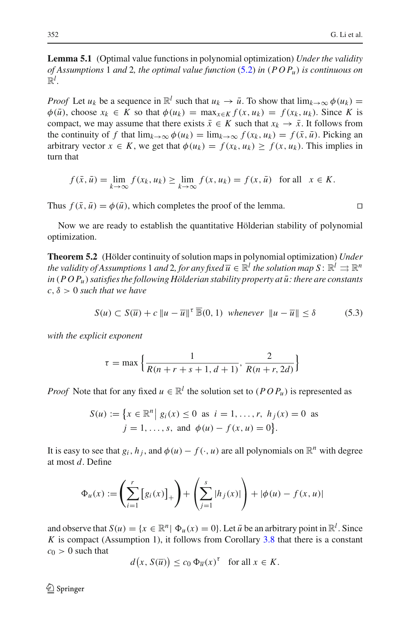**Lemma 5.1** (Optimal value functions in polynomial optimization) *Under the validity of Assumptions* 1 *and* 2*, the optimal value function* [\(5.2\)](#page-18-0) *in* (*POPu*) *is continuous on*  $\mathbb{R}^l$ .

*Proof* Let  $u_k$  be a sequence in  $\mathbb{R}^l$  such that  $u_k \to \bar{u}$ . To show that  $\lim_{k \to \infty} \phi(u_k) =$  $\phi(\bar{u})$ , choose  $x_k \in \bar{K}$  so that  $\phi(u_k) = \max_{x \in K} f(x, u_k) = f(x_k, u_k)$ . Since K is compact, we may assume that there exists  $\bar{x} \in K$  such that  $x_k \to \bar{x}$ . It follows from the continuity of f that  $\lim_{k\to\infty} \phi(u_k) = \lim_{k\to\infty} f(x_k, u_k) = f(\bar{x}, \bar{u})$ . Picking an arbitrary vector  $x \in K$ , we get that  $\phi(u_k) = f(x_k, u_k) \ge f(x, u_k)$ . This implies in turn that

$$
f(\bar{x}, \bar{u}) = \lim_{k \to \infty} f(x_k, u_k) \ge \lim_{k \to \infty} f(x, u_k) = f(x, \bar{u}) \text{ for all } x \in K.
$$

Thus  $f(\bar{x}, \bar{u}) = \phi(\bar{u})$ , which completes the proof of the lemma.

<span id="page-19-1"></span>Now we are ready to establish the quantitative Hölderian stability of polynomial optimization.

**Theorem 5.2** (Hölder continuity of solution maps in polynomial optimization) *Under the validity of Assumptions* 1 *and* 2, *for any fixed*  $\overline{u} \in \mathbb{R}^l$  *the solution map*  $S: \mathbb{R}^l \rightrightarrows \mathbb{R}^n$  $in (POP<sub>u</sub>)$  satisfies the following Hölderian stability property at  $\bar{u}$ : there are constants  $c, \delta > 0$  *such that we have* 

$$
S(u) \subset S(\overline{u}) + c \|u - \overline{u}\|^{\tau} \overline{\mathbb{B}}(0, 1) \text{ whenever } \|u - \overline{u}\| \le \delta \tag{5.3}
$$

<span id="page-19-0"></span>*with the explicit exponent*

$$
\tau = \max \left\{ \frac{1}{R(n+r+s+1, d+1)}, \frac{2}{R(n+r, 2d)} \right\}
$$

*Proof* Note that for any fixed  $u \in \mathbb{R}^l$  the solution set to  $(POP_u)$  is represented as

$$
S(u) := \{ x \in \mathbb{R}^n | g_i(x) \le 0 \text{ as } i = 1, ..., r, h_j(x) = 0 \text{ as } j = 1, ..., s, \text{ and } \phi(u) - f(x, u) = 0 \}.
$$

It is easy to see that  $g_i$ ,  $h_j$ , and  $\phi(u) - f(\cdot, u)$  are all polynomials on  $\mathbb{R}^n$  with degree at most *d*. Define

$$
\Phi_u(x) := \left(\sum_{i=1}^r [g_i(x)]_+\right) + \left(\sum_{j=1}^s |h_j(x)|\right) + |\phi(u) - f(x, u)|
$$

and observe that  $S(u) = \{x \in \mathbb{R}^n | \Phi_u(x) = 0\}$ . Let  $\bar{u}$  be an arbitrary point in  $\mathbb{R}^l$ . Since *K* is compact (Assumption 1), it follows from Corollary [3.8](#page-10-2) that there is a constant  $c_0 > 0$  such that

$$
d(x, S(\overline{u})) \le c_0 \Phi_{\overline{u}}(x)^{\tau} \text{ for all } x \in K.
$$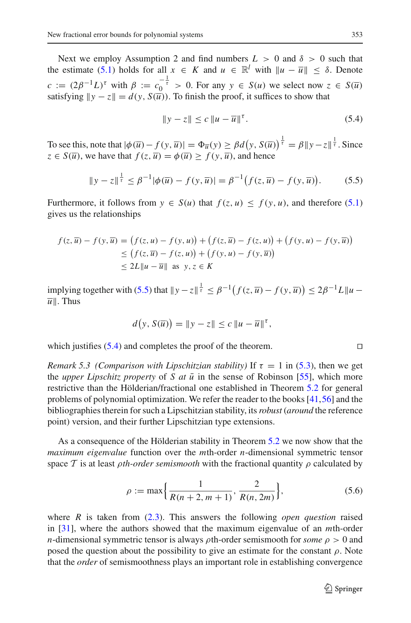Next we employ Assumption 2 and find numbers  $L > 0$  and  $\delta > 0$  such that the estimate [\(5.1\)](#page-17-0) holds for all  $x \in K$  and  $u \in \mathbb{R}^l$  with  $||u - \overline{u}|| < \delta$ . Denote  $c := (2\beta^{-1}L)^{\tau}$  with  $\beta := c_0^{-\frac{1}{\tau}} > 0$ . For any  $y \in S(u)$  we select now  $z \in S(u)$ satisfying  $\|y - z\| = d(y, S(\overline{u}))$ . To finish the proof, it suffices to show that

$$
||y - z|| \le c ||u - \overline{u}||^{\tau}.
$$
 (5.4)

<span id="page-20-1"></span>To see this, note that  $|\phi(\overline{u}) - f(y, \overline{u})| = \Phi_{\overline{u}}(y) \ge \beta d(y, S(\overline{u}))^{\frac{1}{\tau}} = \beta ||y - z||^{\frac{1}{\tau}}$ . Since  $z \in S(\overline{u})$ , we have that  $f(z, \overline{u}) = \phi(\overline{u}) \ge f(y, \overline{u})$ , and hence

$$
||y - z||^{\frac{1}{\tau}} \le \beta^{-1} |\phi(\overline{u}) - f(y, \overline{u})| = \beta^{-1} (f(z, \overline{u}) - f(y, \overline{u})).
$$
 (5.5)

<span id="page-20-0"></span>Furthermore, it follows from  $y \in S(u)$  that  $f(z, u) \leq f(y, u)$ , and therefore [\(5.1\)](#page-17-0) gives us the relationships

$$
f(z,\overline{u}) - f(y,\overline{u}) = (f(z,u) - f(y,u)) + (f(z,\overline{u}) - f(z,u)) + (f(y,u) - f(y,\overline{u}))
$$
  
\n
$$
\leq (f(z,\overline{u}) - f(z,u)) + (f(y,u) - f(y,\overline{u}))
$$
  
\n
$$
\leq 2L||u - \overline{u}|| \text{ as } y, z \in K
$$

implying together with [\(5.5\)](#page-20-0) that  $||y - z||^{\frac{1}{\tau}} \leq \beta^{-1} (f(z, \overline{u}) - f(y, \overline{u})) \leq 2\beta^{-1} L ||u \overline{u}$ . Thus

$$
d(y, S(\overline{u})) = ||y - z|| \le c ||u - \overline{u}||^{\tau},
$$

<span id="page-20-3"></span>which justifies  $(5.4)$  and completes the proof of the theorem.

*Remark 5.3 (Comparison with Lipschitzian stability)* If  $\tau = 1$  in [\(5.3\)](#page-19-0), then we get the *upper Lipschitz property* of *S at*  $\bar{u}$  in the sense of Robinson [\[55](#page-29-18)], which more restrictive than the Hölderian/fractional one established in Theorem [5.2](#page-19-1) for general problems of polynomial optimization. We refer the reader to the books [\[41](#page-29-2)[,56](#page-29-3)] and the bibliographies therein for such a Lipschitzian stability, its*robust* (*around* the reference point) version, and their further Lipschitzian type extensions.

As a consequence of the Hölderian stability in Theorem [5.2](#page-19-1) we now show that the *maximum eigenvalue* function over the *m*th-order *n*-dimensional symmetric tensor space T is at least *pth-order semismooth* with the fractional quantity  $\rho$  calculated by

$$
\rho := \max\left\{\frac{1}{R(n+2, m+1)}, \frac{2}{R(n, 2m)}\right\},\tag{5.6}
$$

<span id="page-20-2"></span>where *R* is taken from [\(2.3\)](#page-5-3). This answers the following *open question* raised in [\[31\]](#page-28-16), where the authors showed that the maximum eigenvalue of an *m*th-order *n*-dimensional symmetric tensor is always  $\rho$ th-order semismooth for *some*  $\rho > 0$  and posed the question about the possibility to give an estimate for the constant  $\rho$ . Note that the *order* of semismoothness plays an important role in establishing convergence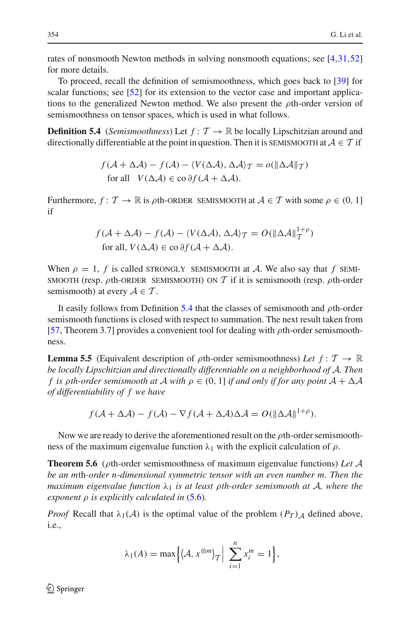1+ρ

rates of nonsmooth Newton methods in solving nonsmooth equations; see [\[4](#page-27-5),[31,](#page-28-16)[52\]](#page-29-19) for more details.

To proceed, recall the definition of semismoothness, which goes back to [\[39](#page-29-20)] for scalar functions; see [\[52\]](#page-29-19) for its extension to the vector case and important applications to the generalized Newton method. We also present the  $\rho$ th-order version of semismoothness on tensor spaces, which is used in what follows.

<span id="page-21-0"></span>**Definition 5.4** (*Semismoothness*) Let  $f: \mathcal{T} \to \mathbb{R}$  be locally Lipschitzian around and directionally differentiable at the point in question. Then it is SEMISMOOTH at  $A \in \mathcal{T}$  if

$$
f(\mathcal{A} + \Delta \mathcal{A}) - f(\mathcal{A}) - \langle V(\Delta \mathcal{A}), \Delta \mathcal{A} \rangle_T = o(\|\Delta \mathcal{A}\|_T)
$$
  
for all  $V(\Delta \mathcal{A}) \in \text{co }\partial f(\mathcal{A} + \Delta \mathcal{A})$ .

Furthermore,  $f: \mathcal{T} \to \mathbb{R}$  is  $\rho$ th-ORDER SEMISMOOTH at  $\mathcal{A} \in \mathcal{T}$  with some  $\rho \in (0, 1]$ if

$$
f(\mathcal{A} + \Delta \mathcal{A}) - f(\mathcal{A}) - \langle V(\Delta \mathcal{A}), \Delta \mathcal{A} \rangle_T = O(||\Delta \mathcal{A}||_T^{1+\rho})
$$
  
for all,  $V(\Delta \mathcal{A}) \in \text{co }\partial f(\mathcal{A} + \Delta \mathcal{A})$ .

When  $\rho = 1$ , *f* is called STRONGLY SEMISMOOTH at *A*. We also say that *f* SEMI-SMOOTH (resp.  $\rho$ th-ORDER SEMISMOOTH) ON  $\mathcal T$  if it is semismooth (resp.  $\rho$ th-order semismooth) at every  $A \in \mathcal{T}$ .

It easily follows from Definition [5.4](#page-21-0) that the classes of semismooth and  $\rho$ th-order semismooth functions is closed with respect to summation. The next result taken from [\[57](#page-29-21), Theorem 3.7] provides a convenient tool for dealing with  $\rho$ th-order semismoothness.

<span id="page-21-1"></span>**Lemma 5.5** (Equivalent description of  $\rho$ th-order semismoothness) *Let*  $f: \mathcal{T} \to \mathbb{R}$ *be locally Lipschitzian and directionally differentiable on a neighborhood of A. Then f is ρth-order semismooth at*  $A$  *with*  $\rho \in (0, 1]$  *if and only if for any point*  $A + \Delta A$ *of differentiability of f we have*

$$
f(\mathcal{A} + \Delta \mathcal{A}) - f(\mathcal{A}) - \nabla f(\mathcal{A} + \Delta \mathcal{A})\Delta \mathcal{A} = O(||\Delta \mathcal{A}||^{1+\rho}).
$$

<span id="page-21-2"></span>Now we are ready to derive the aforementioned result on the  $\rho$ th-order semismoothness of the maximum eigenvalue function  $\lambda_1$  with the explicit calculation of  $\rho$ .

**Theorem 5.6** (ρth-order semismoothness of maximum eigenvalue functions) *Let A be an m*th*-order n-dimensional symmetric tensor with an even number m. Then the maximum eigenvalue function*  $\lambda_1$  *is at least pth-order semismooth at*  $\mathcal{A}$ *, where the exponent* ρ *is explicitly calculated in* [\(5.6\)](#page-20-2)*.*

*Proof* Recall that  $\lambda_1(\mathcal{A})$  is the optimal value of the problem  $(P_T)_{\mathcal{A}}$  defined above, i.e.,

$$
\lambda_1(A) = \max\Big\{ \langle A, x^{\otimes m} \rangle_T \Big| \sum_{i=1}^n x_i^m = 1 \Big\},\
$$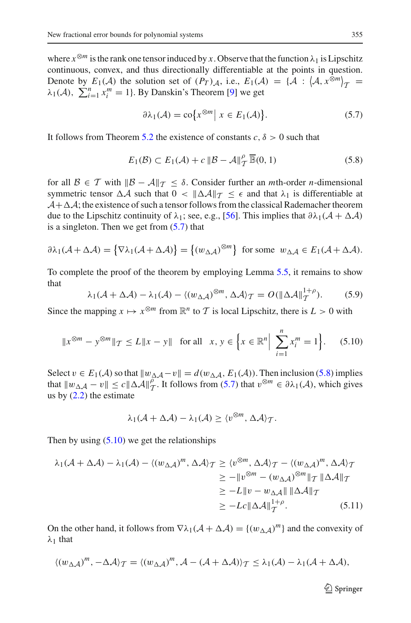where  $x^{\otimes m}$  is the rank one tensor induced by *x*. Observe that the function  $\lambda_1$  is Lipschitz continuous, convex, and thus directionally differentiable at the points in question. Denote by  $E_1(\mathcal{A})$  the solution set of  $(P_T)_{\mathcal{A}}$ , i.e.,  $E_1(\mathcal{A}) = {\mathcal{A} : (\mathcal{A}, x^{\otimes m})_T = \lambda \cdot (A) \sum_{m=1}^{n} x^m - 1!$  By Danskin's Theorem [0] we get  $\lambda_1(\mathcal{A})$ ,  $\sum_{i=1}^n x_i^m = 1$ . By Danskin's Theorem [\[9\]](#page-28-25) we get

$$
\partial \lambda_1(\mathcal{A}) = \text{co}\big\{x^{\otimes m} \big| \ x \in E_1(\mathcal{A})\big\}.
$$
 (5.7)

<span id="page-22-1"></span><span id="page-22-0"></span>It follows from Theorem [5.2](#page-19-1) the existence of constants  $c, \delta > 0$  such that

$$
E_1(\mathcal{B}) \subset E_1(\mathcal{A}) + c \|\mathcal{B} - \mathcal{A}\|_{\mathcal{T}}^{\rho} \overline{\mathbb{B}}(0, 1)
$$
 (5.8)

for all  $\mathcal{B} \in \mathcal{T}$  with  $\|\mathcal{B} - \mathcal{A}\|_{\mathcal{T}} < \delta$ . Consider further an *m*th-order *n*-dimensional symmetric tensor  $\Delta A$  such that  $0 < ||\Delta A||_{\mathcal{T}} < \epsilon$  and that  $\lambda_1$  is differentiable at  $A + \Delta A$ ; the existence of such a tensor follows from the classical Rademacher theorem due to the Lipschitz continuity of  $\lambda_1$ ; see, e.g., [\[56](#page-29-3)]. This implies that  $\partial \lambda_1(A + \Delta A)$ is a singleton. Then we get from  $(5.7)$  that

$$
\partial \lambda_1(\mathcal{A} + \Delta \mathcal{A}) = \{ \nabla \lambda_1(\mathcal{A} + \Delta \mathcal{A}) \} = \{ (w_{\Delta \mathcal{A}})^{\otimes m} \} \text{ for some } w_{\Delta \mathcal{A}} \in E_1(\mathcal{A} + \Delta \mathcal{A}).
$$

To complete the proof of the theorem by employing Lemma [5.5,](#page-21-1) it remains to show that

$$
\lambda_1(\mathcal{A} + \Delta \mathcal{A}) - \lambda_1(\mathcal{A}) - \langle (w_{\Delta \mathcal{A}})^{\otimes m}, \Delta \mathcal{A} \rangle_T = O(||\Delta \mathcal{A}||_T^{1+\rho}).
$$
 (5.9)

<span id="page-22-4"></span>Since the mapping  $x \mapsto x^{\otimes m}$  from  $\mathbb{R}^n$  to  $\mathcal T$  is local Lipschitz, there is  $L > 0$  with

$$
\|x^{\otimes m} - y^{\otimes m}\|_{\mathcal{T}} \le L\|x - y\| \quad \text{for all} \quad x, y \in \left\{x \in \mathbb{R}^n \Big| \sum_{i=1}^n x_i^m = 1\right\}.
$$
 (5.10)

<span id="page-22-2"></span>Select  $v \in E_1(\mathcal{A})$  so that  $||w_{\Delta \mathcal{A}} - v|| = d(w_{\Delta \mathcal{A}}, E_1(\mathcal{A}))$ . Then inclusion [\(5.8\)](#page-22-1) implies that  $||w_{\Delta A} - v|| \le c ||\Delta A||_T^{\rho}$ . It follows from [\(5.7\)](#page-22-0) that  $v^{\otimes m} \in \partial \lambda_1(A)$ , which gives us by  $(2.2)$  the estimate

$$
\lambda_1(\mathcal{A} + \Delta \mathcal{A}) - \lambda_1(\mathcal{A}) \ge \langle v^{\otimes m}, \Delta \mathcal{A} \rangle_{\mathcal{T}}.
$$

<span id="page-22-3"></span>Then by using  $(5.10)$  we get the relationships

$$
\lambda_1(\mathcal{A} + \Delta \mathcal{A}) - \lambda_1(\mathcal{A}) - \langle (w_{\Delta \mathcal{A}})^m, \Delta \mathcal{A} \rangle_T \ge \langle v^{\otimes m}, \Delta \mathcal{A} \rangle_T - \langle (w_{\Delta \mathcal{A}})^m, \Delta \mathcal{A} \rangle_T
$$
  
\n
$$
\ge -\|v^{\otimes m} - (w_{\Delta \mathcal{A}})^{\otimes m}\|_T \|\Delta \mathcal{A}\|_T
$$
  
\n
$$
\ge -L\|v - w_{\Delta \mathcal{A}}\| \|\Delta \mathcal{A}\|_T
$$
  
\n
$$
\ge -Lc\|\Delta \mathcal{A}\|_T^{1+\rho}.
$$
 (5.11)

On the other hand, it follows from  $\nabla \lambda_1(\mathcal{A} + \Delta \mathcal{A}) = \{(w_{\Lambda A})^m\}$  and the convexity of  $\lambda_1$  that

$$
\langle (w_{\Delta A})^m, -\Delta A \rangle_{\mathcal{T}} = \langle (w_{\Delta A})^m, \mathcal{A} - (\mathcal{A} + \Delta \mathcal{A}) \rangle_{\mathcal{T}} \le \lambda_1(\mathcal{A}) - \lambda_1(\mathcal{A} + \Delta \mathcal{A}),
$$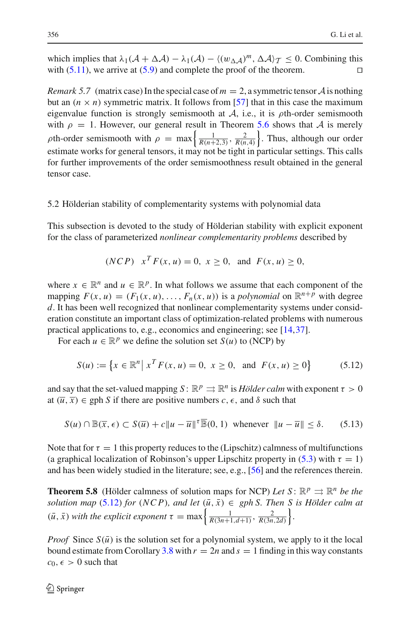which implies that  $\lambda_1(A + \Delta A) - \lambda_1(A) - \langle (w_{\Delta A})^m, \Delta A \rangle_T \le 0$ . Combining this with (5.11), we arrive at (5.9) and complete the proof of the theorem. with  $(5.11)$ , we arrive at  $(5.9)$  and complete the proof of the theorem.

<span id="page-23-2"></span>*Remark 5.7* (matrix case) In the special case of  $m = 2$ , a symmetric tensor A is nothing but an  $(n \times n)$  symmetric matrix. It follows from [\[57\]](#page-29-21) that in this case the maximum eigenvalue function is strongly semismooth at  $A$ , i.e., it is  $\rho$ th-order semismooth with  $\rho = 1$ . However, our general result in Theorem [5.6](#page-21-2) shows that *A* is merely *ρ*th-order semismooth with  $\rho = \max \left\{ \frac{1}{R(n+2,3)}, \frac{2}{R(n,4)} \right\}$ . Thus, although our order estimate works for general tensors, it may not be tight in particular settings. This calls for further improvements of the order semismoothness result obtained in the general tensor case.

### 5.2 Hölderian stability of complementarity systems with polynomial data

This subsection is devoted to the study of Hölderian stability with explicit exponent for the class of parameterized *nonlinear complementarity problems* described by

$$
(NCP)
$$
  $x^T F(x, u) = 0, x \ge 0$ , and  $F(x, u) \ge 0$ ,

where  $x \in \mathbb{R}^n$  and  $u \in \mathbb{R}^p$ . In what follows we assume that each component of the mapping  $F(x, u) = (F_1(x, u), \dots, F_n(x, u))$  is a *polynomial* on  $\mathbb{R}^{n+p}$  with degree *d*. It has been well recognized that nonlinear complementarity systems under consideration constitute an important class of optimization-related problems with numerous practical applications to, e.g., economics and engineering; see [\[14](#page-28-26)[,37](#page-29-11)].

For each  $u \in \mathbb{R}^p$  we define the solution set  $S(u)$  to (NCP) by

$$
S(u) := \{ x \in \mathbb{R}^n \mid x^T F(x, u) = 0, \ x \ge 0, \text{ and } F(x, u) \ge 0 \}
$$
 (5.12)

<span id="page-23-0"></span>and say that the set-valued mapping  $S: \mathbb{R}^p \rightrightarrows \mathbb{R}^n$  is *Hölder calm* with exponent  $\tau > 0$ at  $(\overline{u}, \overline{x}) \in \text{gph } S$  if there are positive numbers  $c, \epsilon$ , and  $\delta$  such that

$$
S(u) \cap \mathbb{B}(\overline{x}, \epsilon) \subset S(\overline{u}) + c \|u - \overline{u}\|^{r} \overline{\mathbb{B}}(0, 1) \text{ whenever } \|u - \overline{u}\| \le \delta. \qquad (5.13)
$$

<span id="page-23-1"></span>Note that for  $\tau = 1$  this property reduces to the (Lipschitz) calmness of multifunctions (a graphical localization of Robinson's upper Lipschitz property in [\(5.3\)](#page-19-0) with  $\tau = 1$ ) and has been widely studied in the literature; see, e.g., [\[56\]](#page-29-3) and the references therein.

**Theorem 5.8** (Hölder calmness of solution maps for NCP) *Let*  $S: \mathbb{R}^p \implies \mathbb{R}^n$  *be the solution map* [\(5.12\)](#page-23-0) *for* (*NCP*)*, and let*  $(\bar{u}, \bar{x}) \in gph S$ *. Then S is Hölder calm at*  $(\bar{u}, \bar{x})$  *with the explicit exponent*  $\tau = \max\left\{\frac{1}{R(3n+1,d+1)}, \frac{2}{R(3n,2d)}\right\}.$ 

*Proof* Since  $S(\bar{u})$  is the solution set for a polynomial system, we apply to it the local bound estimate from Corollary [3.8](#page-10-2) with  $r = 2n$  and  $s = 1$  finding in this way constants  $c_0, \epsilon > 0$  such that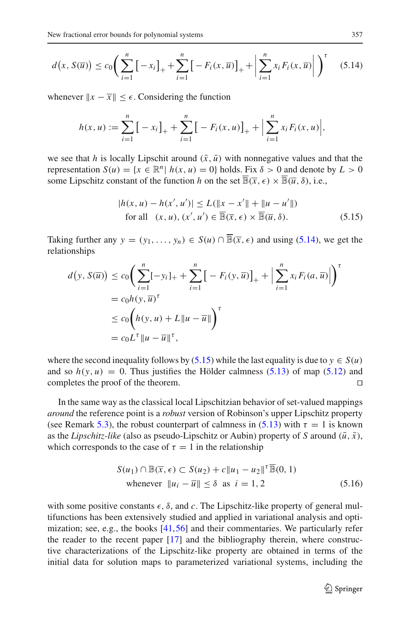<span id="page-24-0"></span>
$$
d(x, S(\overline{u})) \le c_0 \left( \sum_{i=1}^n \left[ -x_i \right]_+ + \sum_{i=1}^n \left[ -F_i(x, \overline{u}) \right]_+ + \left| \sum_{i=1}^n x_i F_i(x, \overline{u}) \right| \right)^{\tau}
$$
(5.14)

whenever  $||x - \overline{x}|| < \epsilon$ . Considering the function

$$
h(x, u) := \sum_{i=1}^{n} \left[ -x_i \right]_{+} + \sum_{i=1}^{n} \left[ -F_i(x, u) \right]_{+} + \left| \sum_{i=1}^{n} x_i F_i(x, u) \right|,
$$

we see that *h* is locally Lipschit around  $(\bar{x}, \bar{u})$  with nonnegative values and that the representation  $S(u) = \{x \in \mathbb{R}^n | h(x, u) = 0\}$  holds. Fix  $\delta > 0$  and denote by  $L > 0$ some Lipschitz constant of the function *h* on the set  $\overline{\mathbb{B}}(\overline{x}, \epsilon) \times \overline{\mathbb{B}}(\overline{u}, \delta)$ , i.e.,

$$
|h(x, u) - h(x', u')| \le L(||x - x'|| + ||u - u'||)
$$
  
for all  $(x, u), (x', u') \in \overline{\mathbb{B}(\overline{x}, \epsilon)} \times \overline{\mathbb{B}(\overline{u}, \delta)}.$  (5.15)

<span id="page-24-1"></span>Taking further any  $y = (y_1, \ldots, y_n) \in S(u) \cap \overline{\mathbb{B}}(\overline{x}, \epsilon)$  and using [\(5.14\)](#page-24-0), we get the relationships

$$
d(y, S(\overline{u})) \le c_0 \left( \sum_{i=1}^n [-y_i]_+ + \sum_{i=1}^n \left[ -F_i(y, \overline{u}) \right]_+ + \left| \sum_{i=1}^n x_i F_i(a, \overline{u}) \right| \right)^{\tau}
$$
  
=  $c_0 h(y, \overline{u})^{\tau}$   
 $\le c_0 \left( h(y, u) + L \|u - \overline{u}\| \right)^{\tau}$   
=  $c_0 L^{\tau} \|u - \overline{u}\|^{\tau},$ 

where the second inequality follows by  $(5.15)$  while the last equality is due to  $y \in S(u)$ and so  $h(y, u) = 0$ . Thus justifies the Hölder calmness [\(5.13\)](#page-23-1) of map [\(5.12\)](#page-23-0) and completes the proof of the theorem completes the proof of the theorem.

In the same way as the classical local Lipschitzian behavior of set-valued mappings *around* the reference point is a *robust* version of Robinson's upper Lipschitz property (see Remark [5.3\)](#page-20-3), the robust counterpart of calmness in [\(5.13\)](#page-23-1) with  $\tau = 1$  is known as the *Lipschitz-like* (also as pseudo-Lipschitz or Aubin) property of *S* around  $(\bar{u}, \bar{x})$ , which corresponds to the case of  $\tau = 1$  in the relationship

$$
S(u_1) \cap \mathbb{B}(\overline{x}, \epsilon) \subset S(u_2) + c \|u_1 - u_2\|^{\tau} \overline{\mathbb{B}}(0, 1)
$$
  
whenever  $||u_i - \overline{u}|| \le \delta$  as  $i = 1, 2$  (5.16)

<span id="page-24-2"></span>with some positive constants  $\epsilon$ ,  $\delta$ , and *c*. The Lipschitz-like property of general multifunctions has been extensively studied and applied in variational analysis and optimization; see, e.g., the books [\[41,](#page-29-2)[56\]](#page-29-3) and their commentaries. We particularly refer the reader to the recent paper  $[17]$  and the bibliography therein, where constructive characterizations of the Lipschitz-like property are obtained in terms of the initial data for solution maps to parameterized variational systems, including the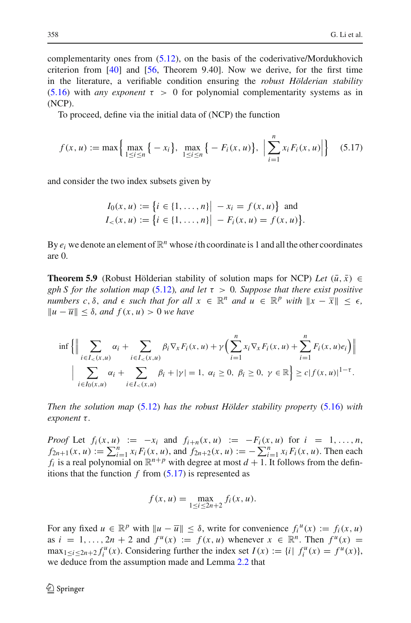complementarity ones from [\(5.12\)](#page-23-0), on the basis of the coderivative/Mordukhovich criterion from [\[40\]](#page-29-22) and [\[56,](#page-29-3) Theorem 9.40]. Now we derive, for the first time in the literature, a verifiable condition ensuring the *robust Hölderian stability*  $(5.16)$  with *any exponent*  $\tau > 0$  for polynomial complementarity systems as in (NCP).

To proceed, define via the initial data of (NCP) the function

$$
f(x, u) := \max \Big\{ \max_{1 \le i \le n} \big\{ -x_i \big\}, \max_{1 \le i \le n} \big\{ -F_i(x, u) \big\}, \Big| \sum_{i=1}^n x_i F_i(x, u) \Big| \Big\} \tag{5.17}
$$

<span id="page-25-0"></span>and consider the two index subsets given by

$$
I_0(x, u) := \{i \in \{1, ..., n\} | -x_i = f(x, u)\} \text{ and}
$$
  

$$
I_<(x, u) := \{i \in \{1, ..., n\} | -F_i(x, u) = f(x, u)\}.
$$

By  $e_i$  we denote an element of  $\mathbb{R}^n$  whose *i*th coordinate is 1 and all the other coordinates are 0.

**Theorem 5.9** (Robust Hölderian stability of solution maps for NCP) *Let*  $(\bar{u}, \bar{x}) \in$ *gph S for the solution map* [\(5.12\)](#page-23-0)*, and let*  $\tau > 0$ *. Suppose that there exist positive numbers c,*  $\delta$ *, and*  $\epsilon$  *such that for all*  $x \in \mathbb{R}^n$  *and*  $u \in \mathbb{R}^p$  *with*  $||x - \overline{x}|| < \epsilon$ *,*  $||u − \overline{u}|| ≤ δ$ , *and*  $f(x, u) > 0$  *we have* 

$$
\inf \left\{ \Big\| \sum_{i \in I_{<}(x,u)} \alpha_i + \sum_{i \in I_{<}(x,u)} \beta_i \nabla_x F_i(x,u) + \gamma \Big( \sum_{i=1}^n x_i \nabla_x F_i(x,u) + \sum_{i=1}^n F_i(x,u) e_i \Big) \Big\| \right\}
$$
\n
$$
\Big| \sum_{i \in I_0(x,u)} \alpha_i + \sum_{i \in I_{<}(x,u)} \beta_i + |\gamma| = 1, \ \alpha_i \ge 0, \ \beta_i \ge 0, \ \gamma \in \mathbb{R} \Big\} \ge c |f(x,u)|^{1-\tau}.
$$

*Then the solution map* [\(5.12\)](#page-23-0) *has the robust Hölder stability property* [\(5.16\)](#page-24-2) *with exponent* τ.

*Proof* Let  $f_i(x, u) := -x_i$  and  $f_{i+n}(x, u) := -F_i(x, u)$  for  $i = 1, ..., n$ ,  $f_{2n+1}(x, u) := \sum_{i=1}^{n} x_i F_i(x, u)$ , and  $f_{2n+2}(x, u) := -\sum_{i=1}^{n} x_i F_i(x, u)$ . Then each *f<sub>i</sub>* is a real polynomial on  $\mathbb{R}^{n+p}$  with degree at most  $d+1$ . It follows from the definitions that the function  $f$  from  $(5.17)$  is represented as

$$
f(x, u) = \max_{1 \le i \le 2n+2} f_i(x, u).
$$

For any fixed  $u \in \mathbb{R}^p$  with  $\|u - \overline{u}\| \le \delta$ , write for convenience  $f_i^u(x) := f_i(x, u)$ as  $i = 1, \ldots, 2n + 2$  and  $f^{u}(x) := f(x, u)$  whenever  $x \in \mathbb{R}^{n}$ . Then  $f^{u}(x) =$  $\max_{1 \le i \le 2n+2} f_i^u(x)$ . Considering further the index set  $I(x) := \{i \mid f_i^u(x) = f^u(x)\}\,$ we deduce from the assumption made and Lemma [2.2](#page-4-0) that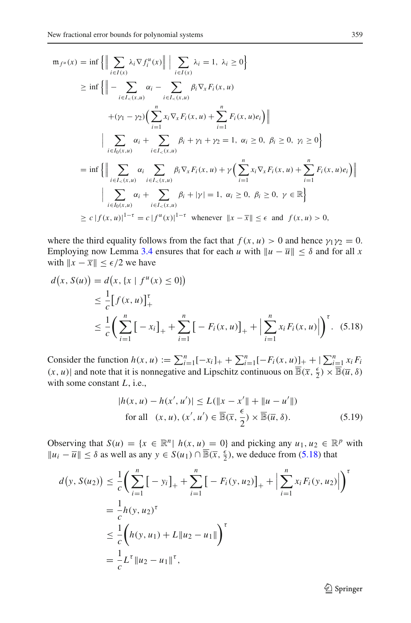$$
m_{f^{u}}(x) = \inf \left\{ \left\| \sum_{i \in I(x)} \lambda_{i} \nabla f_{i}^{u}(x) \right\| \right| \sum_{i \in I(x)} \lambda_{i} = 1, \lambda_{i} \ge 0 \right\}
$$
  
\n
$$
\ge \inf \left\{ \left\| - \sum_{i \in I_{<}(x,u)} \alpha_{i} - \sum_{i \in I_{<}(x,u)} \beta_{i} \nabla_{x} F_{i}(x,u) + (\gamma_{1} - \gamma_{2}) \Big( \sum_{i=1}^{n} x_{i} \nabla_{x} F_{i}(x,u) + \sum_{i=1}^{n} F_{i}(x,u) e_{i} \Big) \right\|
$$
  
\n
$$
\left| \sum_{i \in I_{0}(x,u)} \alpha_{i} + \sum_{i \in I_{<}(x,u)} \beta_{i} + \gamma_{1} + \gamma_{2} = 1, \alpha_{i} \ge 0, \beta_{i} \ge 0, \gamma_{i} \ge 0 \right\}
$$
  
\n
$$
= \inf \left\{ \left\| \sum_{i \in I_{<}(x,u)} \alpha_{i} \sum_{i \in I_{<}(x,u)} \beta_{i} \nabla_{x} F_{i}(x,u) + \gamma \Big( \sum_{i=1}^{n} x_{i} \nabla_{x} F_{i}(x,u) + \sum_{i=1}^{n} F_{i}(x,u) e_{i} \Big) \right\| \right\}
$$
  
\n
$$
\left| \sum_{i \in I_{0}(x,u)} \alpha_{i} + \sum_{i \in I_{<}(x,u)} \beta_{i} + |\gamma_{i}| = 1, \alpha_{i} \ge 0, \beta_{i} \ge 0, \gamma \in \mathbb{R} \right\}
$$
  
\n
$$
\ge c |f(x,u)|^{1-\tau} = c |f^{u}(x)|^{1-\tau} \text{ whenever } ||x - \overline{x}|| \le \epsilon \text{ and } f(x,u) > 0,
$$

where the third equality follows from the fact that  $f(x, u) > 0$  and hence  $\gamma_1 \gamma_2 = 0$ . Employing now Lemma [3.4](#page-8-0) ensures that for each *u* with  $||u - \overline{u}|| \le \delta$  and for all *x* with  $||x - \overline{x}|| \le \epsilon/2$  we have

<span id="page-26-0"></span>
$$
d(x, S(u)) = d(x, \{x \mid f^{u}(x) \le 0\})
$$
  
\n
$$
\leq \frac{1}{c} [f(x, u)]_{+}^{T}
$$
  
\n
$$
\leq \frac{1}{c} \left( \sum_{i=1}^{n} [-x_{i}]_{+} + \sum_{i=1}^{n} [-F_{i}(x, u)]_{+} + \left| \sum_{i=1}^{n} x_{i} F_{i}(x, u) \right| \right)^{\tau}.
$$
 (5.18)

Consider the function  $h(x, u) := \sum_{i=1}^{n} [-x_i]_+ + \sum_{i=1}^{n} [-F_i(x, u)]_+ + \sum_{i=1}^{n} x_i F_i$  $(x, u)$  and note that it is nonnegative and Lipschitz continuous on  $\overline{\mathbb{B}}(\overline{x}, \frac{\epsilon}{2}) \times \overline{\mathbb{B}}(\overline{u}, \delta)$ with some constant *L*, i.e.,

$$
|h(x, u) - h(x', u')| \le L(||x - x'|| + ||u - u'||)
$$
  
for all  $(x, u), (x', u') \in \overline{\mathbb{B}}(\overline{x}, \frac{\epsilon}{2}) \times \overline{\mathbb{B}}(\overline{u}, \delta).$  (5.19)

<span id="page-26-1"></span>Observing that  $S(u) = \{x \in \mathbb{R}^n | h(x, u) = 0\}$  and picking any  $u_1, u_2 \in \mathbb{R}^p$  with  $||u_i - \overline{u}|| \leq \delta$  as well as any *y* ∈ *S*(*u*<sub>1</sub>) ∩  $\overline{B}(\overline{x}, \frac{\epsilon}{2})$ , we deduce from [\(5.18\)](#page-26-0) that

$$
d(y, S(u_2)) \leq \frac{1}{c} \left( \sum_{i=1}^n \left[ -y_i \right]_+ + \sum_{i=1}^n \left[ -F_i(y, u_2) \right]_+ + \left| \sum_{i=1}^n x_i F_i(y, u_2) \right| \right)^{\tau}
$$
  
=  $\frac{1}{c} h(y, u_2)^{\tau}$   
 $\leq \frac{1}{c} \left( h(y, u_1) + L \| u_2 - u_1 \| \right)^{\tau}$   
=  $\frac{1}{c} L^{\tau} \| u_2 - u_1 \|^{\tau},$ 

<sup>2</sup> Springer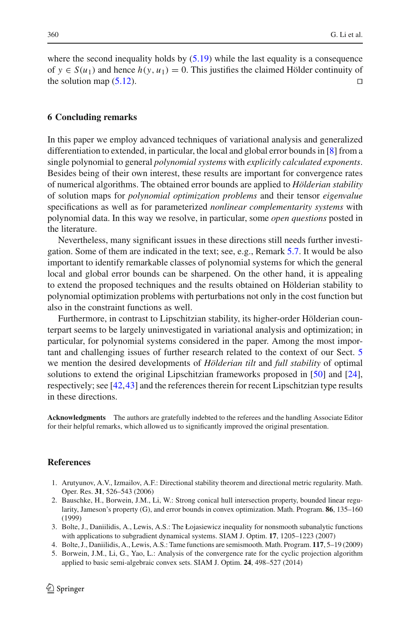where the second inequality holds by  $(5.19)$  while the last equality is a consequence of *y* ∈ *S*(*u*<sub>1</sub>) and hence *h*(*y*, *u*<sub>1</sub>) = 0. This justifies the claimed Hölder continuity of the solution man (5.12) the solution map  $(5.12)$ .

### <span id="page-27-3"></span>**6 Concluding remarks**

In this paper we employ advanced techniques of variational analysis and generalized differentiation to extended, in particular, the local and global error bounds in [\[8](#page-28-15)] from a single polynomial to general *polynomial systems* with *explicitly calculated exponents*. Besides being of their own interest, these results are important for convergence rates of numerical algorithms. The obtained error bounds are applied to *Hölderian stability* of solution maps for *polynomial optimization problems* and their tensor *eigenvalue* specifications as well as for parameterized *nonlinear complementarity systems* with polynomial data. In this way we resolve, in particular, some *open questions* posted in the literature.

Nevertheless, many significant issues in these directions still needs further investigation. Some of them are indicated in the text; see, e.g., Remark [5.7.](#page-23-2) It would be also important to identify remarkable classes of polynomial systems for which the general local and global error bounds can be sharpened. On the other hand, it is appealing to extend the proposed techniques and the results obtained on Hölderian stability to polynomial optimization problems with perturbations not only in the cost function but also in the constraint functions as well.

Furthermore, in contrast to Lipschitzian stability, its higher-order Hölderian counterpart seems to be largely uninvestigated in variational analysis and optimization; in particular, for polynomial systems considered in the paper. Among the most important and challenging issues of further research related to the context of our Sect. [5](#page-16-0) we mention the desired developments of *Hölderian tilt* and *full stability* of optimal solutions to extend the original Lipschitzian frameworks proposed in [\[50](#page-29-23)] and [\[24](#page-28-28)], respectively; see [\[42](#page-29-24)[,43](#page-29-25)] and the references therein for recent Lipschitzian type results in these directions.

**Acknowledgments** The authors are gratefully indebted to the referees and the handling Associate Editor for their helpful remarks, which allowed us to significantly improved the original presentation.

#### <span id="page-27-0"></span>**References**

- 1. Arutyunov, A.V., Izmailov, A.F.: Directional stability theorem and directional metric regularity. Math. Oper. Res. **31**, 526–543 (2006)
- <span id="page-27-4"></span>2. Bauschke, H., Borwein, J.M., Li, W.: Strong conical hull intersection property, bounded linear regularity, Jameson's property (G), and error bounds in convex optimization. Math. Program. **86**, 135–160 (1999)
- <span id="page-27-2"></span>3. Bolte, J., Daniilidis, A., Lewis, A.S.: The Łojasiewicz inequality for nonsmooth subanalytic functions with applications to subgradient dynamical systems. SIAM J. Optim. **17**, 1205–1223 (2007)
- <span id="page-27-5"></span><span id="page-27-1"></span>4. Bolte, J., Daniilidis, A., Lewis, A.S.: Tame functions are semismooth. Math. Program. **117**, 5–19 (2009)
- 5. Borwein, J.M., Li, G., Yao, L.: Analysis of the convergence rate for the cyclic projection algorithm applied to basic semi-algebraic convex sets. SIAM J. Optim. **24**, 498–527 (2014)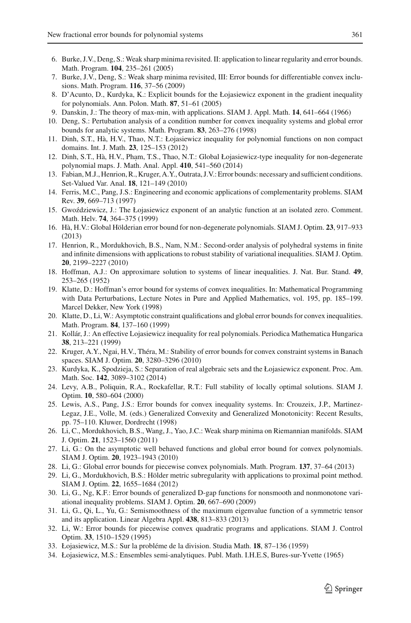- 
- <span id="page-28-18"></span>6. Burke, J.V., Deng, S.: Weak sharp minima revisited. II: application to linear regularity and error bounds. Math. Program. **104**, 235–261 (2005)
- <span id="page-28-19"></span>7. Burke, J.V., Deng, S.: Weak sharp minima revisited, III: Error bounds for differentiable convex inclusions. Math. Program. **116**, 37–56 (2009)
- <span id="page-28-15"></span>8. D'Acunto, D., Kurdyka, K.: Explicit bounds for the Łojasiewicz exponent in the gradient inequality for polynomials. Ann. Polon. Math. **87**, 51–61 (2005)
- 9. Danskin, J.: The theory of max-min, with applications. SIAM J. Appl. Math. **14**, 641–664 (1966)
- <span id="page-28-25"></span><span id="page-28-5"></span>10. Deng, S.: Pertubation analysis of a condition number for convex inequality systems and global error bounds for analytic systems. Math. Program. **83**, 263–276 (1998)
- <span id="page-28-23"></span>11. Dinh, S.T., Hà, H.V., Thao, N.T.: Łojasiewicz inequality for polynomial functions on non compact domains. Int. J. Math. **23**, 125–153 (2012)
- <span id="page-28-1"></span>12. Dinh, S.T., Hà, H.V., Pham, T.S., Thao, N.T.: Global Łojasiewicz-type inequality for non-degenerate polynomial maps. J. Math. Anal. Appl. **410**, 541–560 (2014)
- <span id="page-28-12"></span>13. Fabian,M.J., Henrion, R., Kruger, A.Y., Outrata, J.V.: Error bounds: necessary and sufficient conditions. Set-Valued Var. Anal. **18**, 121–149 (2010)
- <span id="page-28-26"></span>14. Ferris, M.C., Pang, J.S.: Engineering and economic applications of complementarity problems. SIAM Rev. **39**, 669–713 (1997)
- <span id="page-28-21"></span>15. Gwoździewicz, J.: The Łojasiewicz exponent of an analytic function at an isolated zero. Comment. Math. Helv. **74**, 364–375 (1999)
- <span id="page-28-2"></span>16. Hà, H.V.: Global Hölderian error bound for non-degenerate polynomials. SIAM J. Optim. **23**, 917–933 (2013)
- <span id="page-28-27"></span>17. Henrion, R., Mordukhovich, B.S., Nam, N.M.: Second-order analysis of polyhedral systems in finite and infinite dimensions with applications to robust stability of variational inequalities. SIAM J. Optim. **20**, 2199–2227 (2010)
- <span id="page-28-4"></span>18. Hoffman, A.J.: On approximare solution to systems of linear inequalities. J. Nat. Bur. Stand. **49**, 253–265 (1952)
- <span id="page-28-6"></span>19. Klatte, D.: Hoffman's error bound for systems of convex inequalities. In: Mathematical Programming with Data Perturbations, Lecture Notes in Pure and Applied Mathematics, vol. 195, pp. 185–199. Marcel Dekker, New York (1998)
- <span id="page-28-7"></span>20. Klatte, D., Li, W.: Asymptotic constraint qualifications and global error bounds for convex inequalities. Math. Program. **84**, 137–160 (1999)
- <span id="page-28-22"></span>21. Kollár, J.: An effective Lojasiewicz inequality for real polynomials. Periodica Mathematica Hungarica **38**, 213–221 (1999)
- <span id="page-28-8"></span>22. Kruger, A.Y., Ngai, H.V., Théra, M.: Stability of error bounds for convex constraint systems in Banach spaces. SIAM J. Optim. **20**, 3280–3296 (2010)
- <span id="page-28-20"></span>23. Kurdyka, K., Spodzieja, S.: Separation of real algebraic sets and the Łojasiewicz exponent. Proc. Am. Math. Soc. **142**, 3089–3102 (2014)
- <span id="page-28-28"></span>24. Levy, A.B., Poliquin, R.A., Rockafellar, R.T.: Full stability of locally optimal solutions. SIAM J. Optim. **10**, 580–604 (2000)
- <span id="page-28-0"></span>25. Lewis, A.S., Pang, J.S.: Error bounds for convex inequality systems. In: Crouzeix, J.P., Martinez-Legaz, J.E., Volle, M. (eds.) Generalized Convexity and Generalized Monotonicity: Recent Results, pp. 75–110. Kluwer, Dordrecht (1998)
- <span id="page-28-11"></span>26. Li, C., Mordukhovich, B.S., Wang, J., Yao, J.C.: Weak sharp minima on Riemannian manifolds. SIAM J. Optim. **21**, 1523–1560 (2011)
- <span id="page-28-9"></span>27. Li, G.: On the asymptotic well behaved functions and global error bound for convex polynomials. SIAM J. Optim. **20**, 1923–1943 (2010)
- <span id="page-28-17"></span>28. Li, G.: Global error bounds for piecewise convex polynomials. Math. Program. **137**, 37–64 (2013)
- <span id="page-28-3"></span>29. Li, G., Mordukhovich, B.S.: Hölder metric subregularity with applications to proximal point method. SIAM J. Optim. **22**, 1655–1684 (2012)
- <span id="page-28-10"></span>30. Li, G., Ng, K.F.: Error bounds of generalized D-gap functions for nonsmooth and nonmonotone variational inequality problems. SIAM J. Optim. **20**, 667–690 (2009)
- <span id="page-28-16"></span>31. Li, G., Qi, L., Yu, G.: Semismoothness of the maximum eigenvalue function of a symmetric tensor and its application. Linear Algebra Appl. **438**, 813–833 (2013)
- <span id="page-28-14"></span>32. Li, W.: Error bounds for piecewise convex quadratic programs and applications. SIAM J. Control Optim. **33**, 1510–1529 (1995)
- <span id="page-28-13"></span>33. Łojasiewicz, M.S.: Sur la probléme de la division. Studia Math. **18**, 87–136 (1959)
- <span id="page-28-24"></span>34. Łojasiewicz, M.S.: Ensembles semi-analytiques. Publ. Math. I.H.E.S, Bures-sur-Yvette (1965)